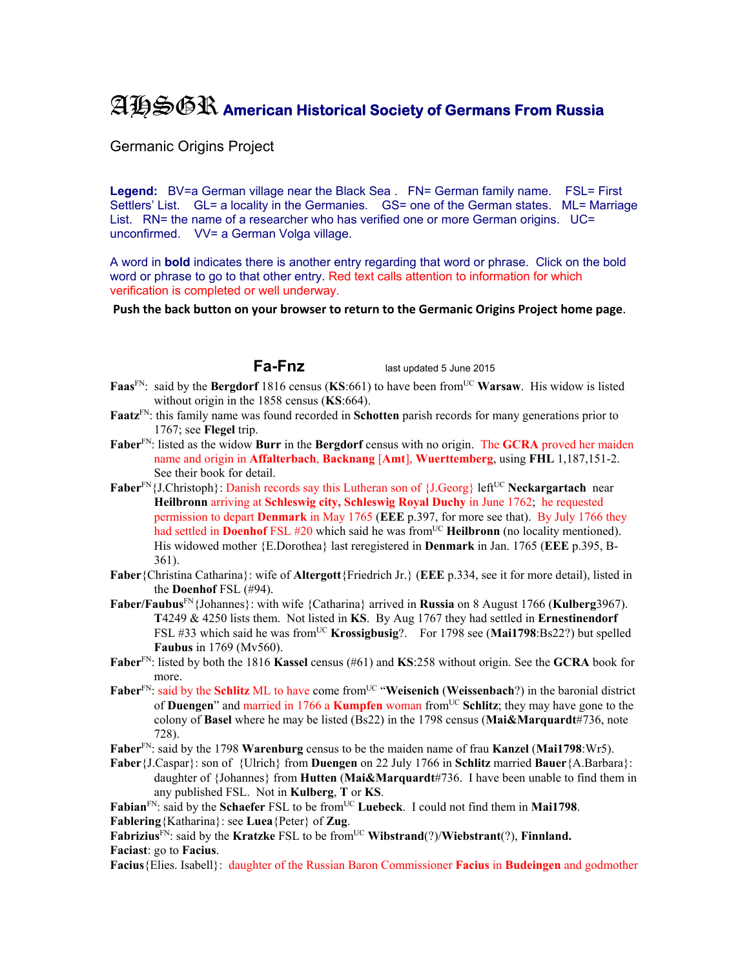## AHSGR **American Historical Society of Germans From Russia**

Germanic Origins Project

Legend: BV=a German village near the Black Sea . FN= German family name. FSL= First Settlers' List. GL= a locality in the Germanies. GS= one of the German states. ML= Marriage List. RN= the name of a researcher who has verified one or more German origins. UC= unconfirmed. VV= a German Volga village.

A word in **bold** indicates there is another entry regarding that word or phrase. Click on the bold word or phrase to go to that other entry. Red text calls attention to information for which verification is completed or well underway.

**Push the back button on your browser to return to the Germanic Origins Project home page**.

**Fa-Fnz** last updated 5 June 2015

- **Faas**FN: said by the **Bergdorf** 1816 census (**KS**:661) to have been fromUC **Warsaw**. His widow is listed without origin in the 1858 census (**KS**:664).
- **Faatz**FN: this family name was found recorded in **Schotten** parish records for many generations prior to 1767; see **Flegel** trip.
- **Faber**FN: listed as the widow **Burr** in the **Bergdorf** census with no origin. The **GCRA** proved her maiden name and origin in **Affalterbach**, **Backnang** [**Amt**], **Wuerttemberg**, using **FHL** 1,187,151-2. See their book for detail.
- **Faber**<sup>FN</sup>{J.Christoph}: Danish records say this Lutheran son of {J.Georg} left<sup>UC</sup> **Neckargartach** near **Heilbronn** arriving at **Schleswig city, Schleswig Royal Duchy** in June 1762; he requested permission to depart **Denmark** in May 1765 (**EEE** p.397, for more see that). By July 1766 they had settled in **Doenhof** FSL #20 which said he was from<sup>UC</sup> Heilbronn (no locality mentioned). His widowed mother {E.Dorothea} last reregistered in **Denmark** in Jan. 1765 (**EEE** p.395, B-361).
- **Faber**{Christina Catharina}: wife of **Altergott**{Friedrich Jr.} (**EEE** p.334, see it for more detail), listed in the **Doenhof** FSL (#94).
- **Faber/Faubus**FN{Johannes}: with wife {Catharina} arrived in **Russia** on 8 August 1766 (**Kulberg**3967). **T**4249 & 4250 lists them. Not listed in **KS**. By Aug 1767 they had settled in **Ernestinendorf** FSL #33 which said he was fromUC **Krossigbusig**?. For 1798 see (**Mai1798**:Bs22?) but spelled **Faubus** in 1769 (Mv560).
- **Faber**FN: listed by both the 1816 **Kassel** census (#61) and **KS**:258 without origin. See the **GCRA** book for more.
- **Faber**<sup>FN</sup>: said by the **Schlitz** ML to have come from<sup>UC</sup> "Weisenich (Weissenbach?) in the baronial district of **Duengen**" and married in 1766 a **Kumpfen** woman fromUC **Schlitz**; they may have gone to the colony of **Basel** where he may be listed (Bs22) in the 1798 census (**Mai&Marquardt**#736, note 728).
- **Faber**FN: said by the 1798 **Warenburg** census to be the maiden name of frau **Kanzel** (**Mai1798**:Wr5).
- **Faber**{J.Caspar}: son of {Ulrich} from **Duengen** on 22 July 1766 in **Schlitz** married **Bauer**{A.Barbara}: daughter of {Johannes} from **Hutten** (**Mai&Marquardt**#736. I have been unable to find them in any published FSL. Not in **Kulberg**, **T** or **KS**.

Fabian<sup>FN</sup>: said by the **Schaefer** FSL to be from<sup>UC</sup> Luebeck. I could not find them in **Mai1798**. **Fablering**{Katharina}: see **Luea**{Peter} of **Zug**.

Fabrizius<sup>FN</sup>: said by the **Kratzke** FSL to be from<sup>UC</sup> Wibstrand(?)/Wiebstrant(?), Finnland. **Faciast**: go to **Facius**.

**Facius**{Elies. Isabell}: daughter of the Russian Baron Commissioner **Facius** in **Budeingen** and godmother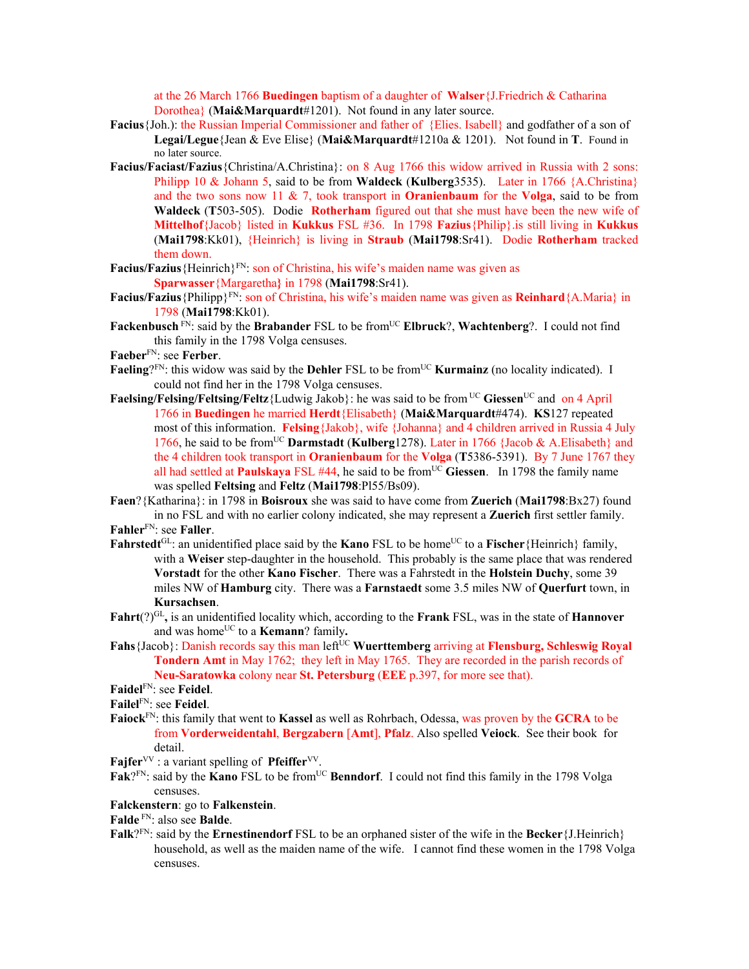at the 26 March 1766 **Buedingen** baptism of a daughter of **Walser**{J.Friedrich & Catharina Dorothea} (**Mai&Marquardt**#1201). Not found in any later source.

- **Facius**{Joh.): the Russian Imperial Commissioner and father of {Elies. Isabell} and godfather of a son of **Legai/Legue**{Jean & Eve Elise} (**Mai&Marquardt**#1210a & 1201). Not found in **T**. Found in no later source.
- **Facius/Faciast/Fazius**{Christina/A.Christina}: on 8 Aug 1766 this widow arrived in Russia with 2 sons: Philipp 10 & Johann 5, said to be from **Waldeck** (**Kulberg**3535). Later in 1766 {A.Christina} and the two sons now 11 & 7, took transport in **Oranienbaum** for the **Volga**, said to be from **Waldeck** (**T**503-505). Dodie **Rotherham** figured out that she must have been the new wife of **Mittelhof**{Jacob} listed in **Kukkus** FSL #36. In 1798 **Fazius**{Philip}.is still living in **Kukkus**  (**Mai1798**:Kk01), {Heinrich} is living in **Straub** (**Mai1798**:Sr41). Dodie **Rotherham** tracked them down.
- **Facius/Fazius** {Heinrich}<sup>FN</sup>: son of Christina, his wife's maiden name was given as **Sparwasser**{Margaretha**}** in 1798 (**Mai1798**:Sr41).
- **Facius/Fazius**{Philipp}FN: son of Christina, his wife's maiden name was given as **Reinhard**{A.Maria} in 1798 (**Mai1798**:Kk01).
- **Fackenbusch** FN: said by the **Brabander** FSL to be from<sup>UC</sup> **Elbruck**?, **Wachtenberg**?. I could not find this family in the 1798 Volga censuses.
- **Faeber**FN: see **Ferber**.
- **Faeling**?FN: this widow was said by the **Dehler** FSL to be from<sup>UC</sup> **Kurmainz** (no locality indicated). I could not find her in the 1798 Volga censuses.
- **Faelsing/Felsing/Feltsing/Feltz**{Ludwig Jakob}: he was said to be from UC **Giessen**UC and on 4 April 1766 in **Buedingen** he married **Herdt**{Elisabeth} (**Mai&Marquardt**#474). **KS**127 repeated most of this information. **Felsing**{Jakob}, wife {Johanna} and 4 children arrived in Russia 4 July 1766, he said to be fromUC **Darmstadt** (**Kulberg**1278). Later in 1766 {Jacob & A.Elisabeth} and the 4 children took transport in **Oranienbaum** for the **Volga** (**T**5386-5391). By 7 June 1767 they all had settled at **Paulskaya** FSL #44, he said to be fromUC **Giessen**. In 1798 the family name was spelled **Feltsing** and **Feltz** (**Mai1798**:Pl55/Bs09).
- **Faen**?{Katharina}: in 1798 in **Boisroux** she was said to have come from **Zuerich** (**Mai1798**:Bx27) found in no FSL and with no earlier colony indicated, she may represent a **Zuerich** first settler family.

**Fahler**FN: see **Faller**.

- **Fahrstedt**<sup>GL</sup>: an unidentified place said by the **Kano** FSL to be home<sup>UC</sup> to a **Fischer**{Heinrich} family, with a **Weiser** step-daughter in the household. This probably is the same place that was rendered **Vorstadt** for the other **Kano Fischer**. There was a Fahrstedt in the **Holstein Duchy**, some 39 miles NW of **Hamburg** city. There was a **Farnstaedt** some 3.5 miles NW of **Querfurt** town, in **Kursachsen**.
- **Fahrt**(?)GL**,** is an unidentified locality which, according to the **Frank** FSL, was in the state of **Hannover** and was home<sup>UC</sup> to a **Kemann**? family.
- Fahs {Jacob}: Danish records say this man left<sup>UC</sup> Wuerttemberg arriving at Flensburg, Schleswig Royal **Tondern Amt** in May 1762; they left in May 1765. They are recorded in the parish records of **Neu-Saratowka** colony near **St. Petersburg** (**EEE** p.397, for more see that).

**Faidel**FN: see **Feidel**.

**Failel**FN: see **Feidel**.

**Faiock**FN: this family that went to **Kassel** as well as Rohrbach, Odessa, was proven by the **GCRA** to be from **Vorderweidentahl**, **Bergzabern** [**Amt**], **Pfalz**. Also spelled **Veiock**. See their book for detail.

**Fajfer**<sup>VV</sup> : a variant spelling of **Pfeiffer**<sup>VV</sup>.

Fak?FN: said by the **Kano** FSL to be from<sup>UC</sup> **Benndorf**. I could not find this family in the 1798 Volga censuses.

**Falckenstern**: go to **Falkenstein**.

**Falde** FN: also see **Balde**.

**Falk**?FN: said by the **Ernestinendorf** FSL to be an orphaned sister of the wife in the **Becker**{J.Heinrich} household, as well as the maiden name of the wife. I cannot find these women in the 1798 Volga censuses.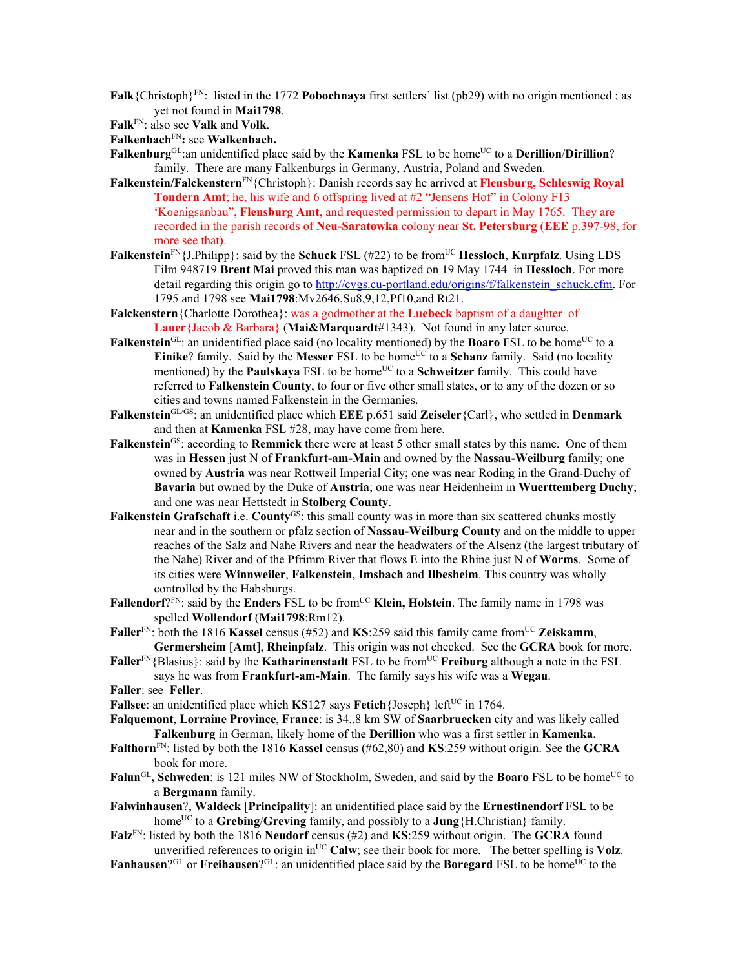- **Falk**{Christoph}FN: listed in the 1772 **Pobochnaya** first settlers' list (pb29) with no origin mentioned ; as yet not found in **Mai1798**.
- **Falk**FN: also see **Valk** and **Volk**.
- **Falkenbach**FN**:** see **Walkenbach.**
- **Falkenburg**<sup>GL</sup>:an unidentified place said by the **Kamenka** FSL to be home<sup>UC</sup> to a **Derillion**/Dirillion? family. There are many Falkenburgs in Germany, Austria, Poland and Sweden.
- **Falkenstein/Falckenstern**FN{Christoph}: Danish records say he arrived at **Flensburg, Schleswig Royal Tondern Amt**; he, his wife and 6 offspring lived at #2 "Jensens Hof" in Colony F13 'Koenigsanbau", **Flensburg Amt**, and requested permission to depart in May 1765. They are recorded in the parish records of **Neu-Saratowka** colony near **St. Petersburg** (**EEE** p.397-98, for more see that).
- **Falkenstein**<sup>FN</sup>{J.Philipp}: said by the **Schuck** FSL (#22) to be from<sup>UC</sup> **Hessloch**, **Kurpfalz**. Using LDS Film 948719 **Brent Mai** proved this man was baptized on 19 May 1744 in **Hessloch**. For more detail regarding this origin go to http://cvgs.cu-portland.edu/origins/f/falkenstein\_schuck.cfm. For 1795 and 1798 see **Mai1798**:Mv2646,Su8,9,12,Pf10,and Rt21.
- **Falckenstern**{Charlotte Dorothea}: was a godmother at the **Luebeck** baptism of a daughter of **Lauer**{Jacob & Barbara} (**Mai&Marquardt**#1343). Not found in any later source.
- **Falkenstein**<sup>GL</sup>: an unidentified place said (no locality mentioned) by the **Boaro** FSL to be home<sup>UC</sup> to a **Einike**? family. Said by the **Messer** FSL to be home<sup>UC</sup> to a **Schanz** family. Said (no locality mentioned) by the **Paulskaya** FSL to be home<sup>UC</sup> to a **Schweitzer** family. This could have referred to **Falkenstein County**, to four or five other small states, or to any of the dozen or so cities and towns named Falkenstein in the Germanies.
- **Falkenstein**GL/GS: an unidentified place which **EEE** p.651 said **Zeiseler**{Carl}, who settled in **Denmark** and then at **Kamenka** FSL #28, may have come from here.
- Falkenstein<sup>GS</sup>: according to Remmick there were at least 5 other small states by this name. One of them was in **Hessen** just N of **Frankfurt-am-Main** and owned by the **Nassau-Weilburg** family; one owned by **Austria** was near Rottweil Imperial City; one was near Roding in the Grand-Duchy of **Bavaria** but owned by the Duke of **Austria**; one was near Heidenheim in **Wuerttemberg Duchy**; and one was near Hettstedt in **Stolberg County**.
- **Falkenstein Grafschaft** i.e. **County**<sup>GS</sup>: this small county was in more than six scattered chunks mostly near and in the southern or pfalz section of **Nassau-Weilburg County** and on the middle to upper reaches of the Salz and Nahe Rivers and near the headwaters of the Alsenz (the largest tributary of the Nahe) River and of the Pfrimm River that flows E into the Rhine just N of **Worms**. Some of its cities were **Winnweiler**, **Falkenstein**, **Imsbach** and **Ilbesheim**. This country was wholly controlled by the Habsburgs.
- **Fallendorf**?<sup>FN</sup>: said by the **Enders** FSL to be from<sup>UC</sup> **Klein, Holstein**. The family name in 1798 was spelled **Wollendorf** (**Mai1798**:Rm12).
- **Faller**<sup>FN</sup>: both the 1816 **Kassel** census (#52) and **KS**:259 said this family came from<sup>UC</sup> Zeiskamm, **Germersheim** [**Amt**], **Rheinpfalz**. This origin was not checked. See the **GCRA** book for more.
- **Faller**<sup>FN</sup>{Blasius}: said by the **Katharinenstadt** FSL to be from<sup>UC</sup> **Freiburg** although a note in the FSL says he was from **Frankfurt-am-Main**. The family says his wife was a **Wegau**.
- **Faller**: see **Feller**.
- **Fallsee**: an unidentified place which **KS**127 says **Fetich**{Joseph} left<sup>UC</sup> in 1764.
- **Falquemont**, **Lorraine Province**, **France**: is 34..8 km SW of **Saarbruecken** city and was likely called **Falkenburg** in German, likely home of the **Derillion** who was a first settler in **Kamenka**.
- **Falthorn**FN: listed by both the 1816 **Kassel** census (#62,80) and **KS**:259 without origin. See the **GCRA** book for more.
- **Falun**<sup>GL</sup>, Schweden: is 121 miles NW of Stockholm, Sweden, and said by the **Boaro** FSL to be home<sup>UC</sup> to a **Bergmann** family.
- **Falwinhausen**?, **Waldeck** [**Principality**]: an unidentified place said by the **Ernestinendorf** FSL to be home<sup>UC</sup> to a **Grebing/Greving** family, and possibly to a **Jung** {H.Christian} family.
- **Falz**FN: listed by both the 1816 **Neudorf** census (#2) and **KS**:259 without origin. The **GCRA** found unverified references to origin in<sup>UC</sup> Calw; see their book for more. The better spelling is **Volz**.
- **Fanhausen**?<sup>GL</sup> or **Freihausen**?<sup>GL</sup>: an unidentified place said by the **Boregard** FSL to be home<sup>UC</sup> to the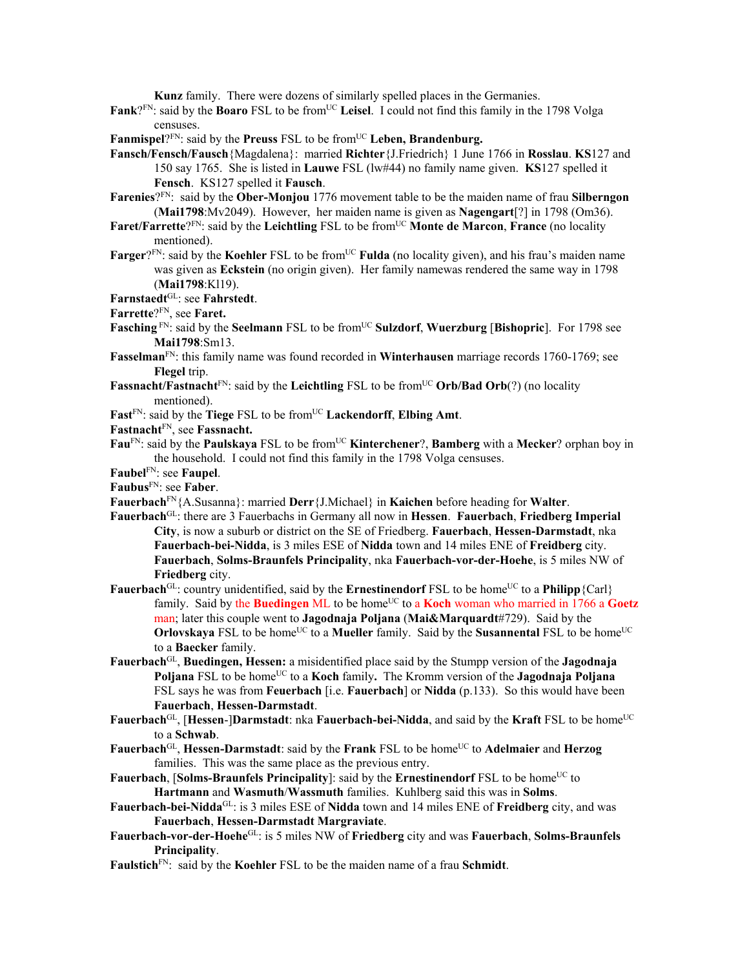**Kunz** family. There were dozens of similarly spelled places in the Germanies.

Fank?<sup>FN</sup>: said by the Boaro FSL to be from<sup>UC</sup> Leisel. I could not find this family in the 1798 Volga censuses.

Fanmispel?FN: said by the **Preuss** FSL to be from<sup>UC</sup> Leben, Brandenburg.

- **Fansch/Fensch/Fausch**{Magdalena}: married **Richter**{J.Friedrich} 1 June 1766 in **Rosslau**. **KS**127 and 150 say 1765. She is listed in **Lauwe** FSL (lw#44) no family name given. **KS**127 spelled it **Fensch**. KS127 spelled it **Fausch**.
- **Farenies**?FN: said by the **Ober-Monjou** 1776 movement table to be the maiden name of frau **Silberngon** (**Mai1798**:Mv2049). However, her maiden name is given as **Nagengart**[?] in 1798 (Om36).
- Faret/Farrette?<sup>FN</sup>: said by the Leichtling FSL to be from<sup>UC</sup> Monte de Marcon, France (no locality mentioned).
- **Farger**? $F_N$ : said by the **Koehler** FSL to be from<sup>UC</sup> **Fulda** (no locality given), and his frau's maiden name was given as **Eckstein** (no origin given). Her family namewas rendered the same way in 1798 (**Mai1798**:Kl19).

**Farnstaedt**GL: see **Fahrstedt**.

**Farrette**?FN, see **Faret.** 

**Fasching**<sup>FN</sup>: said by the **Seelmann** FSL to be from<sup>UC</sup> **Sulzdorf**, **Wuerzburg** [Bishopric]. For 1798 see **Mai1798**:Sm13.

**Fasselman**FN: this family name was found recorded in **Winterhausen** marriage records 1760-1769; see **Flegel** trip.

**Fassnacht/Fastnacht**<sup>FN</sup>: said by the **Leichtling** FSL to be from<sup>UC</sup> Orb/Bad Orb(?) (no locality mentioned).

Fast<sup>FN</sup>: said by the **Tiege** FSL to be from<sup>UC</sup> **Lackendorff**, **Elbing Amt**.

**Fastnacht**FN, see **Fassnacht.** 

- **Fau**FN: said by the **Paulskaya** FSL to be fromUC **Kinterchener**?, **Bamberg** with a **Mecker**? orphan boy in the household. I could not find this family in the 1798 Volga censuses.
- **Faubel**FN: see **Faupel**.

**Faubus**FN: see **Faber**.

- **Fauerbach**FN{A.Susanna}: married **Derr**{J.Michael} in **Kaichen** before heading for **Walter**.
- **Fauerbach**GL: there are 3 Fauerbachs in Germany all now in **Hessen**. **Fauerbach**, **Friedberg Imperial City**, is now a suburb or district on the SE of Friedberg. **Fauerbach**, **Hessen-Darmstadt**, nka **Fauerbach-bei-Nidda**, is 3 miles ESE of **Nidda** town and 14 miles ENE of **Freidberg** city. **Fauerbach**, **Solms-Braunfels Principality**, nka **Fauerbach-vor-der-Hoehe**, is 5 miles NW of **Friedberg** city.
- **Fauerbach**<sup>GL</sup>: country unidentified, said by the **Ernestinendorf** FSL to be home<sup>UC</sup> to a **Philipp** {Carl} family. Said by the **Buedingen** ML to be home<sup>UC</sup> to a **Koch** woman who married in 1766 a Goetz man; later this couple went to **Jagodnaja Poljana** (**Mai&Marquardt**#729). Said by the **Orlovskaya** FSL to be home<sup>UC</sup> to a **Mueller** family. Said by the **Susannental** FSL to be home<sup>UC</sup> to a **Baecker** family.
- **Fauerbach**GL, **Buedingen, Hessen:** a misidentified place said by the Stumpp version of the **Jagodnaja Poljana** FSL to be home<sup>UC</sup> to a **Koch** family. The Kromm version of the **Jagodnaja Poljana** FSL says he was from **Feuerbach** [i.e. **Fauerbach**] or **Nidda** (p.133). So this would have been **Fauerbach**, **Hessen-Darmstadt**.
- **Fauerbach**<sup>GL</sup>, [Hessen-]Darmstadt: nka **Fauerbach-bei-Nidda**, and said by the **Kraft** FSL to be home<sup>UC</sup> to a **Schwab**.
- **Fauerbach**<sup>GL</sup>, **Hessen-Darmstadt**: said by the **Frank** FSL to be home<sup>UC</sup> to **Adelmaier** and **Herzog** families. This was the same place as the previous entry.

**Fauerbach, [Solms-Braunfels Principality**]: said by the **Ernestinendorf** FSL to be home<sup>UC</sup> to **Hartmann** and **Wasmuth**/**Wassmuth** families. Kuhlberg said this was in **Solms**.

- **Fauerbach-bei-Nidda**GL: is 3 miles ESE of **Nidda** town and 14 miles ENE of **Freidberg** city, and was **Fauerbach**, **Hessen-Darmstadt Margraviate**.
- **Fauerbach-vor-der-Hoehe**GL: is 5 miles NW of **Friedberg** city and was **Fauerbach**, **Solms-Braunfels Principality**.
- **Faulstich**FN: said by the **Koehler** FSL to be the maiden name of a frau **Schmidt**.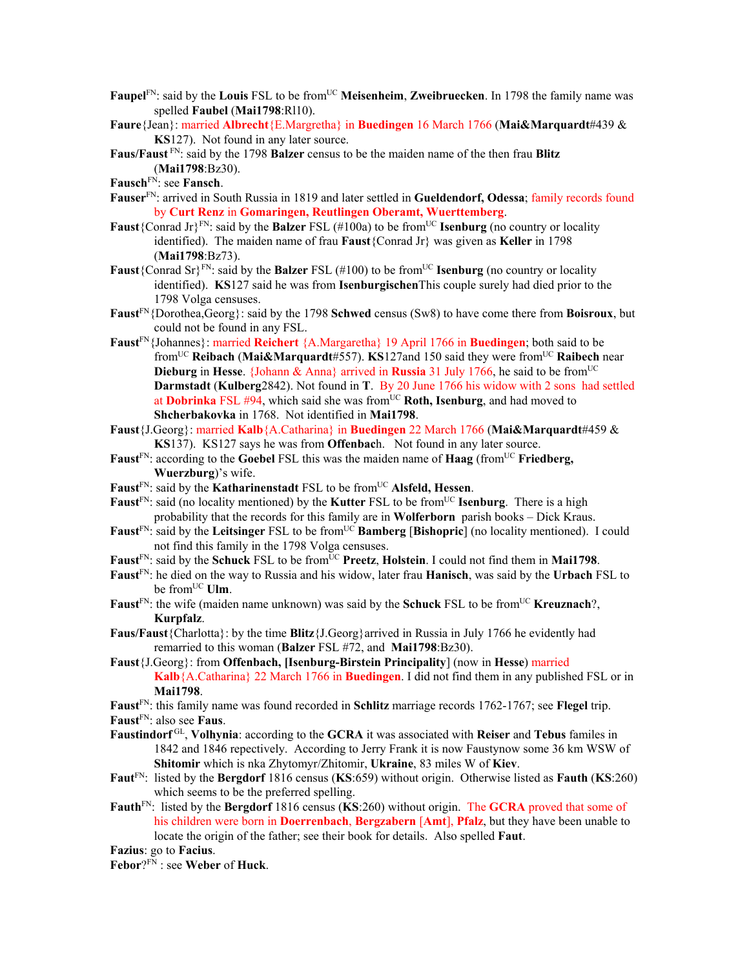- **Faupel**<sup>FN</sup>: said by the **Louis** FSL to be from<sup>UC</sup> **Meisenheim**, **Zweibruecken**. In 1798 the family name was spelled **Faubel** (**Mai1798**:Rl10).
- **Faure**{Jean}: married **Albrecht**{E.Margretha} in **Buedingen** 16 March 1766 (**Mai&Marquardt**#439 & **KS**127). Not found in any later source.
- **Faus/Faust** FN: said by the 1798 **Balzer** census to be the maiden name of the then frau **Blitz**  (**Mai1798**:Bz30).
- **Fausch**FN: see **Fansch**.
- **Fauser**FN: arrived in South Russia in 1819 and later settled in **Gueldendorf, Odessa**; family records found by **Curt Renz** in **Gomaringen, Reutlingen Oberamt, Wuerttemberg**.
- **Faust**{Conrad Jr}<sup>FN</sup>: said by the **Balzer** FSL (#100a) to be from<sup>UC</sup> **Isenburg** (no country or locality identified). The maiden name of frau **Faust**{Conrad Jr} was given as **Keller** in 1798 (**Mai1798**:Bz73).
- **Faust**{Conrad Sr}<sup>FN</sup>: said by the **Balzer** FSL (#100) to be from<sup>UC</sup> **Isenburg** (no country or locality identified). **KS**127 said he was from **Isenburgischen**This couple surely had died prior to the 1798 Volga censuses.
- **Faust**FN{Dorothea,Georg}: said by the 1798 **Schwed** census (Sw8) to have come there from **Boisroux**, but could not be found in any FSL.
- **Faust**FN{Johannes}: married **Reichert** {A.Margaretha} 19 April 1766 in **Buedingen**; both said to be fromUC **Reibach** (**Mai&Marquardt**#557). **KS**127and 150 said they were fromUC **Raibech** near **Dieburg** in **Hesse**. {Johann & Anna} arrived in **Russia** 31 July 1766, he said to be from<sup>UC</sup> **Darmstadt** (**Kulberg**2842). Not found in **T**. By 20 June 1766 his widow with 2 sons had settled at **Dobrinka** FSL #94, which said she was from<sup>UC</sup> Roth, Isenburg, and had moved to **Shcherbakovka** in 1768. Not identified in **Mai1798**.
- **Faust**{J.Georg}: married **Kalb**{A.Catharina} in **Buedingen** 22 March 1766 (**Mai&Marquardt**#459 & **KS**137). KS127 says he was from **Offenbac**h. Not found in any later source.
- **Faust<sup>FN</sup>:** according to the **Goebel** FSL this was the maiden name of **Haag** (from<sup>UC</sup> **Friedberg, Wuerzburg**)'s wife.
- Faust<sup>FN</sup>: said by the **Katharinenstadt** FSL to be from<sup>UC</sup> Alsfeld, Hessen.
- **Faust**<sup>FN</sup>: said (no locality mentioned) by the **Kutter** FSL to be from<sup>UC</sup> **Isenburg**. There is a high probability that the records for this family are in **Wolferborn** parish books – Dick Kraus.
- Faust<sup>FN</sup>: said by the Leitsinger FSL to be from<sup>UC</sup> Bamberg [Bishopric] (no locality mentioned). I could not find this family in the 1798 Volga censuses.
- **Faust**<sup>FN</sup>: said by the **Schuck** FSL to be from<sup>UC</sup> **Preetz**, **Holstein**. I could not find them in **Mai1798**.
- **Faust**FN: he died on the way to Russia and his widow, later frau **Hanisch**, was said by the **Urbach** FSL to be from<sup>UC</sup> Ulm.
- **Faust**<sup>FN</sup>: the wife (maiden name unknown) was said by the **Schuck** FSL to be from<sup>UC</sup> **Kreuznach**?, **Kurpfalz**.
- **Faus/Faust**{Charlotta}: by the time **Blitz**{J.Georg}arrived in Russia in July 1766 he evidently had remarried to this woman (**Balzer** FSL #72, and **Mai1798**:Bz30).
- **Faust**{J.Georg}: from **Offenbach, [Isenburg-Birstein Principality**] (now in **Hesse**) married **Kalb**{A.Catharina} 22 March 1766 in **Buedingen**. I did not find them in any published FSL or in **Mai1798**.
- **Faust**FN: this family name was found recorded in **Schlitz** marriage records 1762-1767; see **Flegel** trip.
- **Faust**FN: also see **Faus**.
- **Faustindorf** GL, **Volhynia**: according to the **GCRA** it was associated with **Reiser** and **Tebus** familes in 1842 and 1846 repectively. According to Jerry Frank it is now Faustynow some 36 km WSW of **Shitomir** which is nka Zhytomyr/Zhitomir, **Ukraine**, 83 miles W of **Kiev**.
- **Faut**FN: listed by the **Bergdorf** 1816 census (**KS**:659) without origin. Otherwise listed as **Fauth** (**KS**:260) which seems to be the preferred spelling.
- **Fauth**FN: listed by the **Bergdorf** 1816 census (**KS**:260) without origin. The **GCRA** proved that some of his children were born in **Doerrenbach**, **Bergzabern** [**Amt**], **Pfalz**, but they have been unable to locate the origin of the father; see their book for details. Also spelled **Faut**.

**Fazius**: go to **Facius**.

**Febor**?FN : see **Weber** of **Huck**.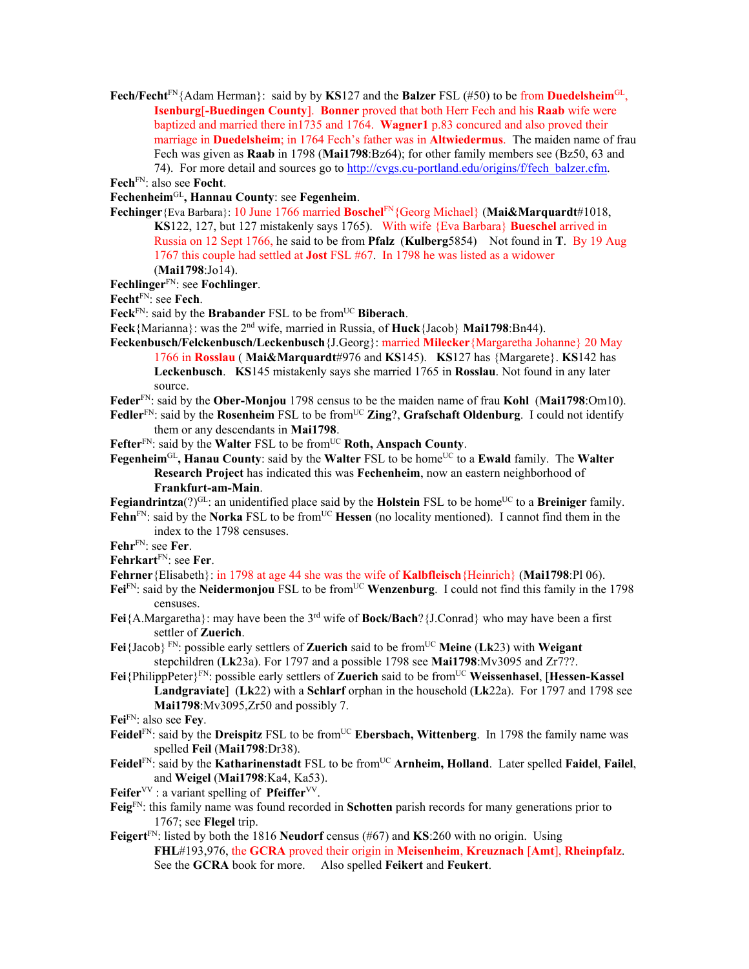**Fech/Fecht**FN{Adam Herman}: said by by **KS**127 and the **Balzer** FSL (#50) to be from **Duedelsheim**GL, **Isenburg**[**-Buedingen County**]. **Bonner** proved that both Herr Fech and his **Raab** wife were baptized and married there in1735 and 1764. **Wagner1** p.83 concured and also proved their marriage in **Duedelsheim**; in 1764 Fech's father was in **Altwiedermus**. The maiden name of frau Fech was given as **Raab** in 1798 (**Mai1798**:Bz64); for other family members see (Bz50, 63 and 74). For more detail and sources go to http://cvgs.cu-portland.edu/origins/f/fech\_balzer.cfm.

**Fech**FN: also see **Focht**.

**Fechenheim**GL**, Hannau County**: see **Fegenheim**.

- **Fechinger**{Eva Barbara}: 10 June 1766 married **Boschel**FN{Georg Michael} (**Mai&Marquardt**#1018, **KS**122, 127, but 127 mistakenly says 1765). With wife {Eva Barbara} **Bueschel** arrived in Russia on 12 Sept 1766, he said to be from **Pfalz** (**Kulberg**5854) Not found in **T**. By 19 Aug 1767 this couple had settled at **Jost** FSL #67. In 1798 he was listed as a widower (**Mai1798**:Jo14).
- **Fechlinger**FN: see **Fochlinger**.

**Fecht**FN: see **Fech**.

Feck<sup>FN</sup>: said by the **Brabander** FSL to be from<sup>UC</sup> **Biberach**.

- **Feck**{Marianna}: was the 2nd wife, married in Russia, of **Huck**{Jacob} **Mai1798**:Bn44).
- **Feckenbusch/Felckenbusch/Leckenbusch**{J.Georg}: married **Milecker**{Margaretha Johanne} 20 May 1766 in **Rosslau** ( **Mai&Marquardt**#976 and **KS**145). **KS**127 has {Margarete}. **KS**142 has **Leckenbusch**. **KS**145 mistakenly says she married 1765 in **Rosslau**. Not found in any later source.
- **Feder**FN: said by the **Ober-Monjou** 1798 census to be the maiden name of frau **Kohl** (**Mai1798**:Om10).
- Fedler<sup>FN</sup>: said by the Rosenheim FSL to be from<sup>UC</sup> Zing?, Grafschaft Oldenburg. I could not identify them or any descendants in **Mai1798**.

Fefter<sup>FN</sup>: said by the Walter FSL to be from<sup>UC</sup> Roth, Anspach County.

**Fegenheim**<sup>GL</sup>, **Hanau County**: said by the **Walter** FSL to be home<sup>UC</sup> to a **Ewald** family. The **Walter Research Project** has indicated this was **Fechenheim**, now an eastern neighborhood of **Frankfurt-am-Main**.

**Fegiandrintza**(?)<sup>GL</sup>: an unidentified place said by the **Holstein** FSL to be home<sup>UC</sup> to a **Breiniger** family. Fehn<sup>FN</sup>: said by the **Norka** FSL to be from<sup>UC</sup> Hessen (no locality mentioned). I cannot find them in the index to the 1798 censuses.

**Fehr**FN: see **Fer**.

**Fehrkart**FN: see **Fer**.

**Fehrner**{Elisabeth}: in 1798 at age 44 she was the wife of **Kalbfleisch**{Heinrich} (**Mai1798**:Pl 06).

 $Fei<sup>FN</sup>$ : said by the **Neidermonjou** FSL to be from<sup>UC</sup> **Wenzenburg**. I could not find this family in the 1798 censuses.

**Fei**{A.Margaretha}: may have been the 3rd wife of **Bock/Bach**?{J.Conrad} who may have been a first settler of **Zuerich**.

Fei<sup>{Jacob} FN</sup>: possible early settlers of **Zuerich** said to be from<sup>UC</sup> Meine (Lk23) with Weigant stepchildren (**Lk**23a). For 1797 and a possible 1798 see **Mai1798**:Mv3095 and Zr7??.

**Fei**{PhilippPeter}FN: possible early settlers of **Zuerich** said to be fromUC **Weissenhasel**, [**Hessen-Kassel Landgraviate**] (**Lk**22) with a **Schlarf** orphan in the household (**Lk**22a). For 1797 and 1798 see **Mai1798**:Mv3095,Zr50 and possibly 7.

**Fei**FN: also see **Fey**.

- **Feidel**<sup>FN</sup>: said by the **Dreispitz** FSL to be from<sup>UC</sup> **Ebersbach, Wittenberg**. In 1798 the family name was spelled **Feil** (**Mai1798**:Dr38).
- Feidel<sup>FN</sup>: said by the **Katharinenstadt** FSL to be from<sup>UC</sup> **Arnheim, Holland**. Later spelled **Faidel**, **Failel**, and **Weigel** (**Mai1798**:Ka4, Ka53).

**Feifer**<sup>VV</sup> : a variant spelling of **Pfeiffer**<sup>VV</sup>.

- **Feig**FN: this family name was found recorded in **Schotten** parish records for many generations prior to 1767; see **Flegel** trip.
- **Feigert**FN: listed by both the 1816 **Neudorf** census (#67) and **KS**:260 with no origin. Using **FHL**#193,976, the **GCRA** proved their origin in **Meisenheim**, **Kreuznach** [**Amt**], **Rheinpfalz**. See the **GCRA** book for more. Also spelled **Feikert** and **Feukert**.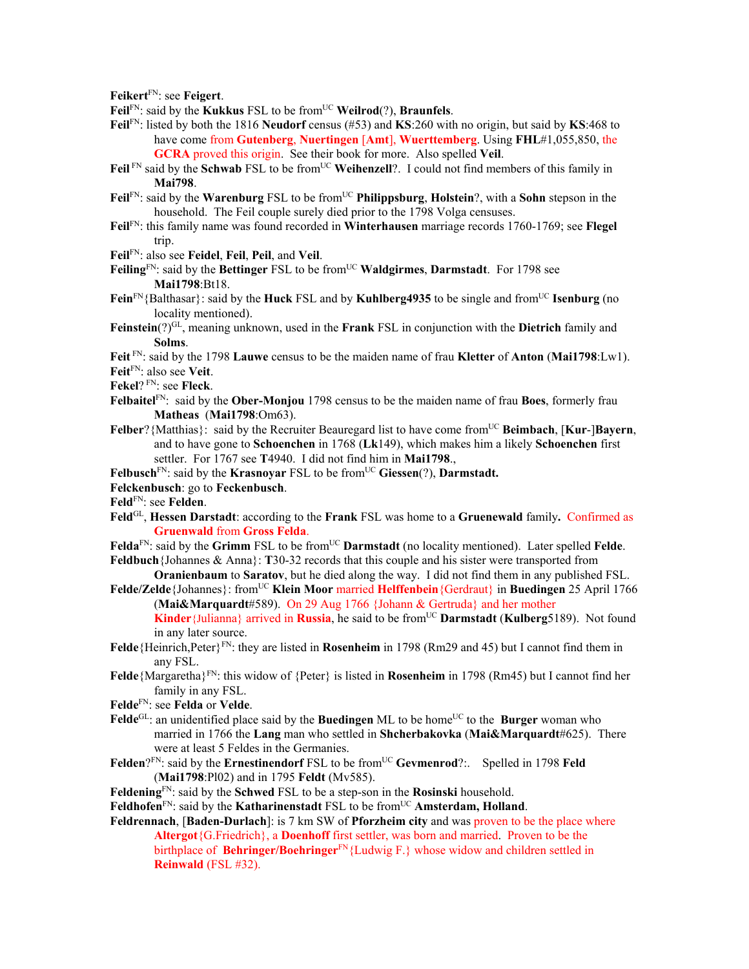**Feikert**FN: see **Feigert**.

- Feil<sup>FN</sup>: said by the **Kukkus** FSL to be from<sup>UC</sup> **Weilrod**(?), **Braunfels**.
- **Feil**FN: listed by both the 1816 **Neudorf** census (#53) and **KS**:260 with no origin, but said by **KS**:468 to have come from **Gutenberg**, **Nuertingen** [**Amt**], **Wuerttemberg**. Using **FHL**#1,055,850, the **GCRA** proved this origin. See their book for more. Also spelled **Veil**.
- Feil<sup>FN</sup> said by the Schwab FSL to be from<sup>UC</sup> Weihenzell?. I could not find members of this family in **Mai798**.
- **Feil**FN: said by the **Warenburg** FSL to be fromUC **Philippsburg**, **Holstein**?, with a **Sohn** stepson in the household. The Feil couple surely died prior to the 1798 Volga censuses.
- **Feil**FN: this family name was found recorded in **Winterhausen** marriage records 1760-1769; see **Flegel** trip.
- **Feil**FN: also see **Feidel**, **Feil**, **Peil**, and **Veil**.
- Feiling<sup>FN</sup>: said by the Bettinger FSL to be from<sup>UC</sup> Waldgirmes, Darmstadt. For 1798 see **Mai1798**:Bt18.
- **Fein**<sup>FN</sup>{Balthasar}: said by the **Huck** FSL and by **Kuhlberg4935** to be single and from<sup>UC</sup> **Isenburg** (no locality mentioned).
- **Feinstein**(?)GL, meaning unknown, used in the **Frank** FSL in conjunction with the **Dietrich** family and **Solms**.

**Feit** FN: said by the 1798 **Lauwe** census to be the maiden name of frau **Kletter** of **Anton** (**Mai1798**:Lw1). **Feit**FN: also see **Veit**.

**Fekel**? FN: see **Fleck**.

- **Felbaitel**FN: said by the **Ober-Monjou** 1798 census to be the maiden name of frau **Boes**, formerly frau **Matheas** (**Mai1798**:Om63).
- **Felber**?{Matthias}: said by the Recruiter Beauregard list to have come fromUC **Beimbach**, [**Kur**-]**Bayern**, and to have gone to **Schoenchen** in 1768 (**Lk**149), which makes him a likely **Schoenchen** first settler. For 1767 see **T**4940. I did not find him in **Mai1798**.,
- **Felbusch**<sup>FN</sup>: said by the **Krasnovar** FSL to be from<sup>UC</sup> Giessen(?), **Darmstadt.**
- **Felckenbusch**: go to **Feckenbusch**.
- **Feld**FN: see **Felden**.
- **Feld**GL, **Hessen Darstadt**: according to the **Frank** FSL was home to a **Gruenewald** family**.** Confirmed as **Gruenwald** from **Gross Felda**.
- Felda<sup>FN</sup>: said by the Grimm FSL to be from<sup>UC</sup> Darmstadt (no locality mentioned). Later spelled Felde. **Feldbuch**{Johannes & Anna}: **T**30-32 records that this couple and his sister were transported from
- **Oranienbaum** to **Saratov**, but he died along the way. I did not find them in any published FSL.
- **Felde/Zelde**{Johannes}: fromUC **Klein Moor** married **Helffenbein**{Gerdraut} in **Buedingen** 25 April 1766 (**Mai&Marquardt**#589). On 29 Aug 1766 {Johann & Gertruda} and her mother **Kinder**{Julianna} arrived in **Russia**, he said to be from<sup>UC</sup> **Darmstadt** (**Kulberg**5189). Not found in any later source.
- **Felde**{Heinrich,Peter}FN: they are listed in **Rosenheim** in 1798 (Rm29 and 45) but I cannot find them in any FSL.
- **Felde**{Margaretha}FN: this widow of {Peter} is listed in **Rosenheim** in 1798 (Rm45) but I cannot find her family in any FSL.
- **Felde**FN: see **Felda** or **Velde**.
- **Felde**<sup>GL</sup>: an unidentified place said by the **Buedingen** ML to be home<sup>UC</sup> to the **Burger** woman who married in 1766 the **Lang** man who settled in **Shcherbakovka** (**Mai&Marquardt**#625). There were at least 5 Feldes in the Germanies.
- Felden?<sup>FN</sup>: said by the **Ernestinendorf** FSL to be from<sup>UC</sup> Gevmenrod?:. Spelled in 1798 Feld (**Mai1798**:Pl02) and in 1795 **Feldt** (Mv585).
- **Feldening**FN: said by the **Schwed** FSL to be a step-son in the **Rosinski** household.
- **Feldhofen**<sup>FN</sup>: said by the **Katharinenstadt** FSL to be from<sup>UC</sup> **Amsterdam, Holland**.
- **Feldrennach**, [**Baden-Durlach**]: is 7 km SW of **Pforzheim city** and was proven to be the place where **Altergot**{G.Friedrich}, a **Doenhoff** first settler, was born and married. Proven to be the birthplace of **Behringer/Boehringer**FN{Ludwig F.} whose widow and children settled in **Reinwald** (FSL #32).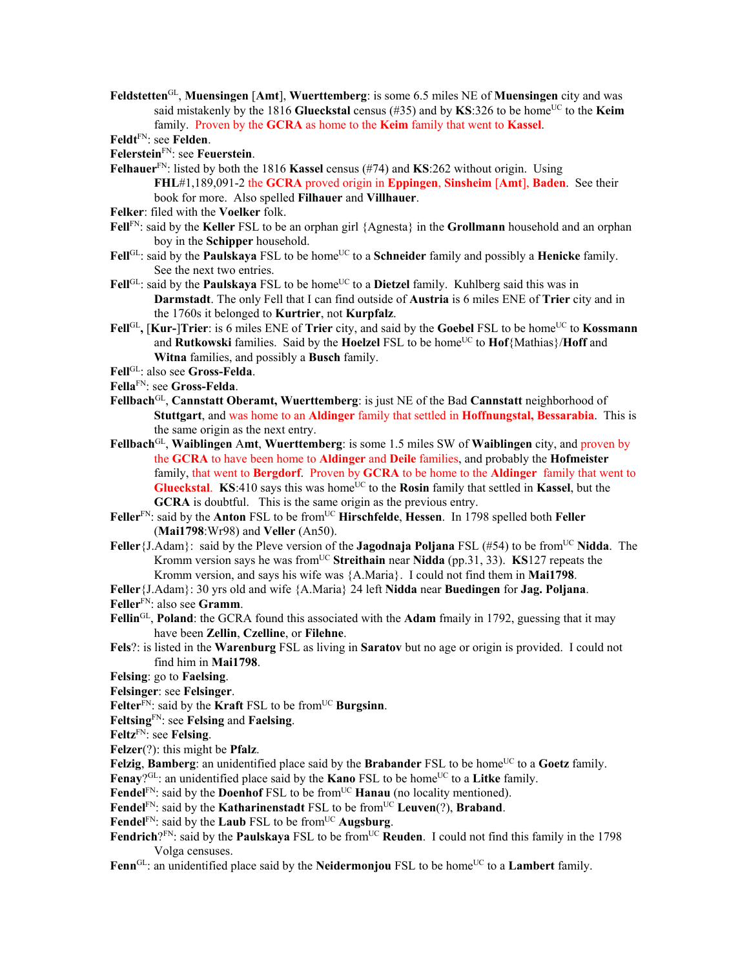**Feldstetten**GL, **Muensingen** [**Amt**], **Wuerttemberg**: is some 6.5 miles NE of **Muensingen** city and was said mistakenly by the 1816 **Glueckstal** census (#35) and by **KS**:326 to be home<sup>UC</sup> to the **Keim** family. Proven by the **GCRA** as home to the **Keim** family that went to **Kassel**.

**Feldt**FN: see **Felden**.

- **Felerstein**FN: see **Feuerstein**.
- **Felhauer**FN: listed by both the 1816 **Kassel** census (#74) and **KS**:262 without origin. Using **FHL**#1,189,091-2 the **GCRA** proved origin in **Eppingen**, **Sinsheim** [**Amt**], **Baden**. See their book for more. Also spelled **Filhauer** and **Villhauer**.
- **Felker**: filed with the **Voelker** folk.
- **Fell**FN: said by the **Keller** FSL to be an orphan girl {Agnesta} in the **Grollmann** household and an orphan boy in the **Schipper** household.
- Fell<sup>GL</sup>: said by the **Paulskaya** FSL to be home<sup>UC</sup> to a **Schneider** family and possibly a **Henicke** family. See the next two entries.
- **Fell**<sup>GL</sup>: said by the **Paulskaya** FSL to be home<sup>UC</sup> to a **Dietzel** family. Kuhlberg said this was in **Darmstadt**. The only Fell that I can find outside of **Austria** is 6 miles ENE of **Trier** city and in the 1760s it belonged to **Kurtrier**, not **Kurpfalz**.
- **Fell**<sup>GL</sup>, **[Kur-]Trier**: is 6 miles ENE of **Trier** city, and said by the **Goebel** FSL to be home<sup>UC</sup> to **Kossmann** and **Rutkowski** families. Said by the **Hoelzel** FSL to be home<sup>UC</sup> to **Hof**{Mathias}/**Hoff** and **Witna** families, and possibly a **Busch** family.
- **Fell**GL: also see **Gross-Felda**.
- **Fella**FN: see **Gross-Felda**.
- **Fellbach**GL, **Cannstatt Oberamt, Wuerttemberg**: is just NE of the Bad **Cannstatt** neighborhood of **Stuttgart**, and was home to an **Aldinger** family that settled in **Hoffnungstal, Bessarabia**. This is the same origin as the next entry.
- **Fellbach**GL, **Waiblingen** A**mt**, **Wuerttemberg**: is some 1.5 miles SW of **Waiblingen** city, and proven by the **GCRA** to have been home to **Aldinger** and **Deile** families, and probably the **Hofmeister** family, that went to **Bergdorf**. Proven by **GCRA** to be home to the **Aldinger** family that went to **Glueckstal. KS**:410 says this was home<sup>UC</sup> to the **Rosin** family that settled in **Kassel**, but the **GCRA** is doubtful. This is the same origin as the previous entry.
- **Feller**FN: said by the **Anton** FSL to be fromUC **Hirschfelde**, **Hessen**. In 1798 spelled both **Feller** (**Mai1798**:Wr98) and **Veller** (An50).
- **Feller**{J.Adam}: said by the Pleve version of the **Jagodnaja Poljana** FSL (#54) to be from<sup>UC</sup> Nidda. The Kromm version says he was from<sup>UC</sup> Streithain near Nidda (pp.31, 33). **KS**127 repeats the Kromm version, and says his wife was {A.Maria}. I could not find them in **Mai1798**.
- **Feller**{J.Adam}: 30 yrs old and wife {A.Maria} 24 left **Nidda** near **Buedingen** for **Jag. Poljana**.
- **Feller**FN: also see **Gramm**.
- **Fellin**GL, **Poland**: the GCRA found this associated with the **Adam** fmaily in 1792, guessing that it may have been **Zellin**, **Czelline**, or **Filehne**.
- **Fels**?: is listed in the **Warenburg** FSL as living in **Saratov** but no age or origin is provided. I could not find him in **Mai1798**.
- **Felsing**: go to **Faelsing**.
- **Felsinger**: see **Felsinger**.
- Felter<sup>FN</sup>: said by the **Kraft** FSL to be from<sup>UC</sup> Burgsinn.
- **Feltsing**FN: see **Felsing** and **Faelsing**.
- **Feltz**FN: see **Felsing**.
- **Felzer**(?): this might be **Pfalz**.
- **Felzig**, **Bamberg**: an unidentified place said by the **Brabander** FSL to be home<sup>UC</sup> to a **Goetz** family. Fenay?<sup>GL</sup>: an unidentified place said by the **Kano** FSL to be home<sup>UC</sup> to a **Litke** family.
- Fendel<sup>FN</sup>: said by the **Doenhof** FSL to be from<sup>UC</sup> **Hanau** (no locality mentioned).
- **Fendel**<sup>FN</sup>: said by the **Katharinenstadt** FSL to be from<sup>UC</sup> **Leuven**(?), **Braband**.
- Fendel<sup>FN</sup>: said by the **Laub** FSL to be from<sup>UC</sup> Augsburg.
- **Fendrich**? $F_N$ : said by the **Paulskaya** FSL to be from<sup>UC</sup> **Reuden**. I could not find this family in the 1798
- Volga censuses.
- Fenn<sup>GL</sup>: an unidentified place said by the **Neidermonjou** FSL to be home<sup>UC</sup> to a **Lambert** family.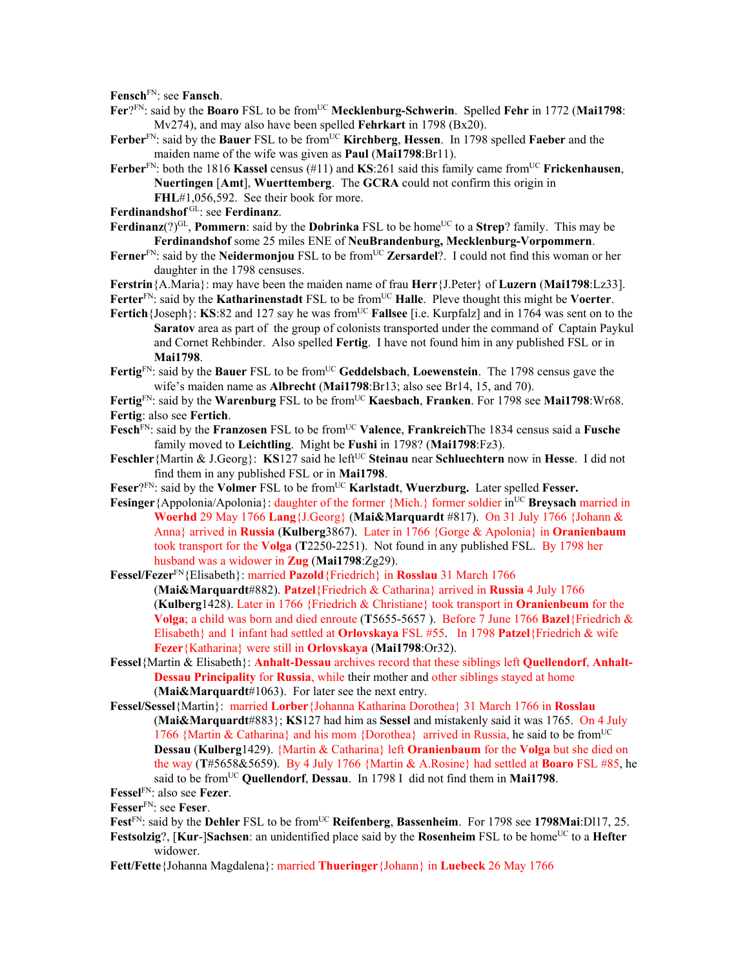**Fensch**FN: see **Fansch**.

- Fer?FN: said by the **Boaro** FSL to be from<sup>UC</sup> Mecklenburg-Schwerin. Spelled Fehr in 1772 (Mai1798: Mv274), and may also have been spelled **Fehrkart** in 1798 (Bx20).
- **Ferber**FN: said by the **Bauer** FSL to be fromUC **Kirchberg**, **Hessen**. In 1798 spelled **Faeber** and the maiden name of the wife was given as **Paul** (**Mai1798**:Br11).
- **Ferber**<sup>FN</sup>: both the 1816 **Kassel** census (#11) and **KS**:261 said this family came from<sup>UC</sup> Frickenhausen, **Nuertingen** [**Amt**], **Wuerttemberg**. The **GCRA** could not confirm this origin in **FHL**#1,056,592. See their book for more.
- **Ferdinandshof** GL: see **Ferdinanz**.
- **Ferdinanz**(?)<sup>GL</sup>, **Pommern**: said by the **Dobrinka** FSL to be home<sup>UC</sup> to a **Strep**? family. This may be **Ferdinandshof** some 25 miles ENE of **NeuBrandenburg, Mecklenburg-Vorpommern**.
- **Ferner**FN: said by the **Neidermonjou** FSL to be fromUC **Zersardel**?. I could not find this woman or her daughter in the 1798 censuses.
- **Ferstrin**{A.Maria}: may have been the maiden name of frau **Herr**{J.Peter} of **Luzern** (**Mai1798**:Lz33].

Ferter<sup>FN</sup>: said by the **Katharinenstadt** FSL to be from<sup>UC</sup> **Halle**. Pleve thought this might be **Voerter**.

- **Fertich**{Joseph}: **KS**:82 and 127 say he was from<sup>UC</sup> **Fallsee** [i.e. Kurpfalz] and in 1764 was sent on to the **Saratov** area as part of the group of colonists transported under the command of Captain Paykul and Cornet Rehbinder. Also spelled **Fertig**. I have not found him in any published FSL or in **Mai1798**.
- **Fertig**FN: said by the **Bauer** FSL to be fromUC **Geddelsbach**, **Loewenstein**. The 1798 census gave the wife's maiden name as **Albrecht** (**Mai1798**:Br13; also see Br14, 15, and 70).

Fertig<sup>FN</sup>: said by the Warenburg FSL to be from<sup>UC</sup> Kaesbach, Franken. For 1798 see Mai1798:Wr68. **Fertig**: also see **Fertich**.

- Fesch<sup>FN</sup>: said by the **Franzosen** FSL to be from<sup>UC</sup> Valence, FrankreichThe 1834 census said a Fusche family moved to **Leichtling**. Might be **Fushi** in 1798? (**Mai1798**:Fz3).
- **Feschler**{Martin & J.Georg}: **KS**127 said he left<sup>UC</sup> Steinau near Schluechtern now in Hesse. I did not find them in any published FSL or in **Mai1798**.
- Feser?<sup>FN</sup>: said by the **Volmer** FSL to be from<sup>UC</sup> **Karlstadt**, **Wuerzburg.** Later spelled **Fesser.**
- **Fesinger** {Appolonia/Apolonia}: daughter of the former {Mich.} former soldier in<sup>UC</sup> **Breysach** married in **Woerhd** 29 May 1766 **Lang**{J.Georg} (**Mai&Marquardt** #817). On 31 July 1766 {Johann & Anna} arrived in **Russia** (**Kulberg**3867). Later in 1766 {Gorge & Apolonia} in **Oranienbaum**  took transport for the **Volga** (**T**2250-2251). Not found in any published FSL. By 1798 her husband was a widower in **Zug** (**Mai1798**:Zg29).
- **Fessel/Fezer**FN{Elisabeth}: married **Pazold**{Friedrich} in **Rosslau** 31 March 1766 (**Mai&Marquardt**#882). **Patzel**{Friedrich & Catharina} arrived in **Russia** 4 July 1766 (**Kulberg**1428). Later in 1766 {Friedrich & Christiane} took transport in **Oranienbeum** for the **Volga**; a child was born and died enroute (**T**5655-5657 ). Before 7 June 1766 **Bazel**{Friedrich & Elisabeth} and 1 infant had settled at **Orlovskaya** FSL #55. In 1798 **Patzel**{Friedrich & wife **Fezer**{Katharina} were still in **Orlovskaya** (**Mai1798**:Or32).
- **Fessel**{Martin & Elisabeth}: **Anhalt-Dessau** archives record that these siblings left **Quellendorf**, **Anhalt-Dessau Principality** for **Russia**, while their mother and other siblings stayed at home (**Mai&Marquardt**#1063). For later see the next entry.
- **Fessel/Sessel**{Martin}: married **Lorber**{Johanna Katharina Dorothea} 31 March 1766 in **Rosslau** (**Mai&Marquardt**#883}; **KS**127 had him as **Sessel** and mistakenly said it was 1765. On 4 July 1766 {Martin & Catharina} and his mom {Dorothea} arrived in Russia, he said to be from<sup>UC</sup> **Dessau** (**Kulberg**1429). {Martin & Catharina} left **Oranienbaum** for the **Volga** but she died on the way (**T**#5658&5659). By 4 July 1766 {Martin & A.Rosine} had settled at **Boaro** FSL #85, he said to be fromUC **Quellendorf**, **Dessau**.In 1798 I did not find them in **Mai1798**.

- **Fesser**FN: see **Feser**.
- Fest<sup>FN</sup>: said by the **Dehler** FSL to be from<sup>UC</sup> **Reifenberg**, **Bassenheim**. For 1798 see 1798Mai:Dl17, 25.
- **Festsolzig**?, [Kur-]Sachsen: an unidentified place said by the Rosenheim FSL to be home<sup>UC</sup> to a Hefter widower.
- **Fett/Fette**{Johanna Magdalena}: married **Thueringer**{Johann} in **Luebeck** 26 May 1766

**Fessel**FN: also see **Fezer**.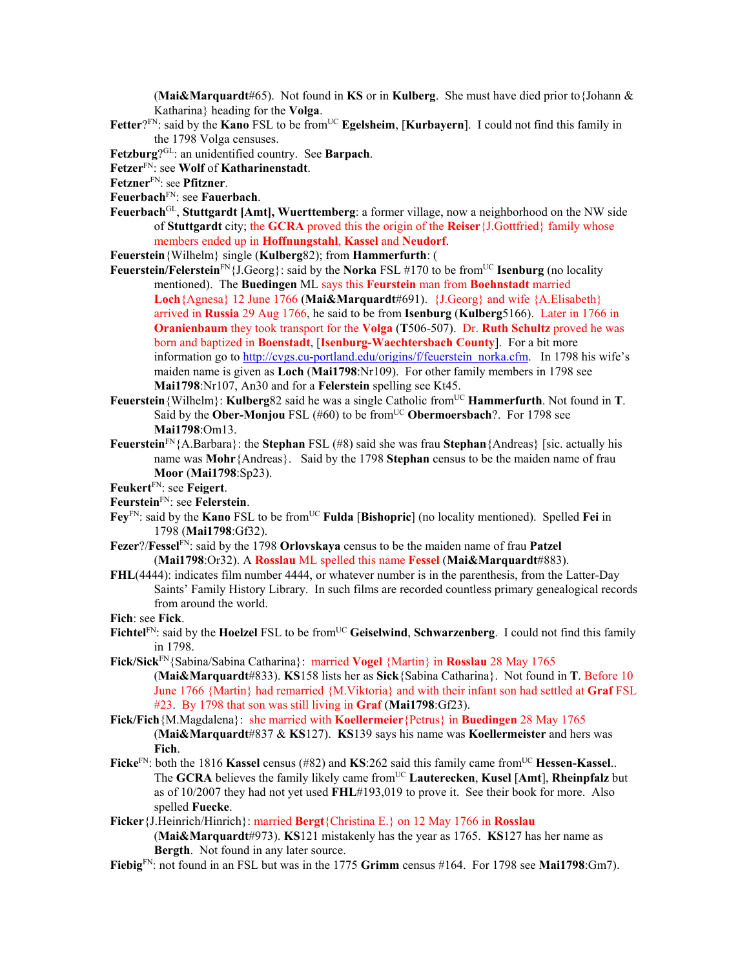(**Mai&Marquardt**#65). Not found in **KS** or in **Kulberg**. She must have died prior to{Johann & Katharina} heading for the **Volga**.

Fetter<sup>?FN</sup>: said by the **Kano** FSL to be from<sup>UC</sup> **Egelsheim**, [**Kurbayern**]. I could not find this family in the 1798 Volga censuses.

**Fetzburg**?GL: an unidentified country. See **Barpach**.

- **Fetzer**FN: see **Wolf** of **Katharinenstadt**.
- **Fetzner**FN: see **Pfitzner**.
- **Feuerbach**FN: see **Fauerbach**.
- **Feuerbach**GL, **Stuttgardt [Amt], Wuerttemberg**: a former village, now a neighborhood on the NW side of **Stuttgardt** city; the **GCRA** proved this the origin of the **Reiser**{J.Gottfried} family whose members ended up in **Hoffnungstahl**, **Kassel** and **Neudorf**.

**Feuerstein**{Wilhelm} single (**Kulberg**82); from **Hammerfurth**: (

- **Feuerstein/Felerstein**<sup>FN</sup>{ $J.Georg$ }: said by the **Norka** FSL #170 to be from<sup>UC</sup> **Isenburg** (no locality mentioned). The **Buedingen** ML says this **Feurstein** man from **Boehnstadt** married **Loch**{Agnesa} 12 June 1766 (**Mai&Marquardt**#691). {J.Georg} and wife {A.Elisabeth} arrived in **Russia** 29 Aug 1766, he said to be from **Isenburg** (**Kulberg**5166). Later in 1766 in **Oranienbaum** they took transport for the **Volga** (**T**506-507). Dr. **Ruth Schultz** proved he was born and baptized in **Boenstadt**, [**Isenburg-Waechtersbach County**]. For a bit more information go to http://cvgs.cu-portland.edu/origins/f/feuerstein\_norka.cfm. In 1798 his wife's maiden name is given as **Loch** (**Mai1798**:Nr109). For other family members in 1798 see **Mai1798**:Nr107, An30 and for a **Felerstein** spelling see Kt45.
- **Feuerstein**{Wilhelm}: **Kulberg**82 said he was a single Catholic from<sup>UC</sup> **Hammerfurth**. Not found in **T**. Said by the **Ober-Monjou** FSL (#60) to be from<sup>UC</sup> **Obermoersbach**?. For 1798 see **Mai1798**:Om13.
- **Feuerstein**FN{A.Barbara}: the **Stephan** FSL (#8) said she was frau **Stephan**{Andreas} [sic. actually his name was **Mohr**{Andreas}. Said by the 1798 **Stephan** census to be the maiden name of frau **Moor** (**Mai1798**:Sp23).

**Feukert**FN: see **Feigert**.

- **Feurstein**FN: see **Felerstein**.
- **Fey**FN: said by the **Kano** FSL to be fromUC **Fulda** [**Bishopric**] (no locality mentioned). Spelled **Fei** in 1798 (**Mai1798**:Gf32).
- **Fezer**?/**Fessel**FN: said by the 1798 **Orlovskaya** census to be the maiden name of frau **Patzel** (**Mai1798**:Or32). A **Rosslau** ML spelled this name **Fessel** (**Mai&Marquardt**#883).
- **FHL**(4444): indicates film number 4444, or whatever number is in the parenthesis, from the Latter-Day Saints' Family History Library. In such films are recorded countless primary genealogical records from around the world.

**Fich**: see **Fick**.

- Fichtel<sup>FN</sup>: said by the **Hoelzel** FSL to be from<sup>UC</sup> Geiselwind, Schwarzenberg. I could not find this family in 1798.
- **Fick/Sick**FN{Sabina/Sabina Catharina}: married **Vogel** {Martin} in **Rosslau** 28 May 1765 (**Mai&Marquardt**#833). **KS**158 lists her as **Sick**{Sabina Catharina}. Not found in **T**. Before 10 June 1766 {Martin} had remarried {M.Viktoria} and with their infant son had settled at **Graf** FSL #23. By 1798 that son was still living in **Graf** (**Mai1798**:Gf23).
- **Fick/Fich**{M.Magdalena}: she married with **Koellermeier**{Petrus} in **Buedingen** 28 May 1765 (**Mai&Marquardt**#837 & **KS**127). **KS**139 says his name was **Koellermeister** and hers was **Fich**.
- **Ficke**<sup>FN</sup>: both the 1816 **Kassel** census (#82) and **KS**:262 said this family came from<sup>UC</sup> Hessen-Kassel.. The **GCRA** believes the family likely came fromUC **Lauterecken**, **Kusel** [**Amt**], **Rheinpfalz** but as of 10/2007 they had not yet used **FHL**#193,019 to prove it. See their book for more. Also spelled **Fuecke**.
- **Ficker**{J.Heinrich/Hinrich}: married **Bergt**{Christina E.} on 12 May 1766 in **Rosslau** (**Mai&Marquardt**#973). **KS**121 mistakenly has the year as 1765. **KS**127 has her name as **Bergth**. Not found in any later source.
- **Fiebig**FN: not found in an FSL but was in the 1775 **Grimm** census #164. For 1798 see **Mai1798**:Gm7).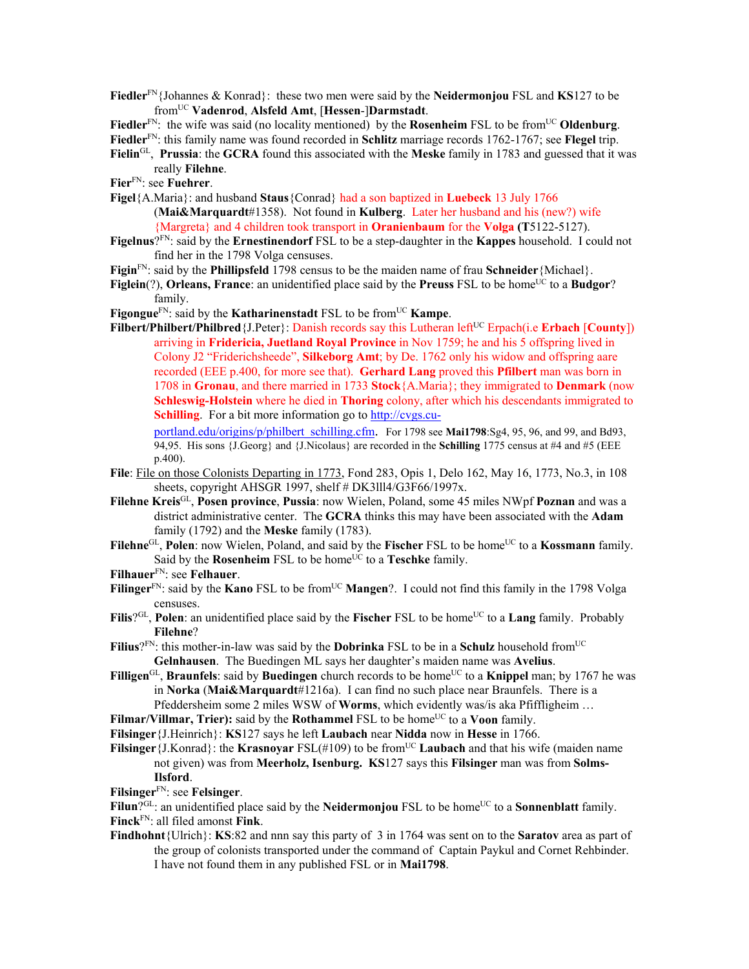**Fiedler**FN{Johannes & Konrad}: these two men were said by the **Neidermonjou** FSL and **KS**127 to be fromUC **Vadenrod**, **Alsfeld Amt**, [**Hessen**-]**Darmstadt**.

Fiedler<sup>FN</sup>: the wife was said (no locality mentioned) by the **Rosenheim** FSL to be from<sup>UC</sup> Oldenburg. **Fiedler**FN: this family name was found recorded in **Schlitz** marriage records 1762-1767; see **Flegel** trip.

- **Fielin**GL, **Prussia**: the **GCRA** found this associated with the **Meske** family in 1783 and guessed that it was really **Filehne**.
- **Fier**FN: see **Fuehrer**.
- **Figel**{A.Maria}: and husband **Staus**{Conrad} had a son baptized in **Luebeck** 13 July 1766
	- (**Mai&Marquardt**#1358). Not found in **Kulberg**. Later her husband and his (new?) wife {Margreta} and 4 children took transport in **Oranienbaum** for the **Volga (T**5122-5127).
- **Figelnus**?FN: said by the **Ernestinendorf** FSL to be a step-daughter in the **Kappes** household. I could not find her in the 1798 Volga censuses.
- **Figin**FN: said by the **Phillipsfeld** 1798 census to be the maiden name of frau **Schneider**{Michael}.
- **Figlein**(?), **Orleans, France**: an unidentified place said by the **Preuss** FSL to be home<sup>UC</sup> to a **Budgor**? family.
- Figongue<sup>FN</sup>: said by the **Katharinenstadt** FSL to be from<sup>UC</sup> **Kampe**.
- **Filbert/Philbert/Philbred** {J.Peter}: Danish records say this Lutheran left<sup>UC</sup> Erpach(i.e **Erbach** [**County**]) arriving in **Fridericia, Juetland Royal Province** in Nov 1759; he and his 5 offspring lived in Colony J2 "Friderichsheede", **Silkeborg Amt**; by De. 1762 only his widow and offspring aare recorded (EEE p.400, for more see that). **Gerhard Lang** proved this **Pfilbert** man was born in 1708 in **Gronau**, and there married in 1733 **Stock**{A.Maria}; they immigrated to **Denmark** (now **Schleswig-Holstein** where he died in **Thoring** colony, after which his descendants immigrated to **Schilling**. For a bit more information go to http://cvgs.cu-

portland.edu/origins/p/philbert\_schilling.cfm. For 1798 see **Mai1798**:Sg4, 95, 96, and 99, and Bd93, 94,95. His sons {J.Georg} and {J.Nicolaus} are recorded in the **Schilling** 1775 census at #4 and #5 (EEE p.400).

- **File**: File on those Colonists Departing in 1773, Fond 283, Opis 1, Delo 162, May 16, 1773, No.3, in 108 sheets, copyright AHSGR 1997, shelf # DK3lll4/G3F66/1997x.
- **Filehne Kreis**GL, **Posen province**, **Pussia**: now Wielen, Poland, some 45 miles NWpf **Poznan** and was a district administrative center. The **GCRA** thinks this may have been associated with the **Adam** family (1792) and the **Meske** family (1783).
- Filehne<sup>GL</sup>, Polen: now Wielen, Poland, and said by the Fischer FSL to be home<sup>UC</sup> to a **Kossmann** family. Said by the **Rosenheim** FSL to be home<sup>UC</sup> to a **Teschke** family.
- **Filhauer**FN: see **Felhauer**.
- **Filinger**<sup>FN</sup>: said by the **Kano** FSL to be from<sup>UC</sup> **Mangen**?. I could not find this family in the 1798 Volga censuses.
- Filis<sup>?GL</sup>, Polen: an unidentified place said by the Fischer FSL to be home<sup>UC</sup> to a **Lang** family. Probably **Filehne**?
- Filius?<sup>FN</sup>: this mother-in-law was said by the **Dobrinka** FSL to be in a **Schulz** household from<sup>UC</sup> **Gelnhausen**. The Buedingen ML says her daughter's maiden name was **Avelius**.

**Filligen**<sup>GL</sup>, **Braunfels**: said by **Buedingen** church records to be home<sup>UC</sup> to a **Knippel** man; by 1767 he was in **Norka** (**Mai&Marquardt**#1216a). I can find no such place near Braunfels. There is a Pfeddersheim some 2 miles WSW of **Worms**, which evidently was/is aka Pfiffligheim …

- **Filmar/Villmar, Trier):** said by the **Rothammel** FSL to be home<sup>UC</sup> to a **Voon** family.
- **Filsinger**{J.Heinrich}: **KS**127 says he left **Laubach** near **Nidda** now in **Hesse** in 1766.

**Filsinger** {J.Konrad}: the **Krasnoyar** FSL(#109) to be from<sup>UC</sup> **Laubach** and that his wife (maiden name not given) was from **Meerholz, Isenburg. KS**127 says this **Filsinger** man was from **Solms-Ilsford**.

**Filsinger**FN: see **Felsinger**.

Filun<sup>?GL</sup>: an unidentified place said by the **Neidermonjou** FSL to be home<sup>UC</sup> to a **Sonnenblatt** family. **Finck**FN: all filed amonst **Fink**.

**Findhohnt**{Ulrich}: **KS**:82 and nnn say this party of 3 in 1764 was sent on to the **Saratov** area as part of the group of colonists transported under the command of Captain Paykul and Cornet Rehbinder. I have not found them in any published FSL or in **Mai1798**.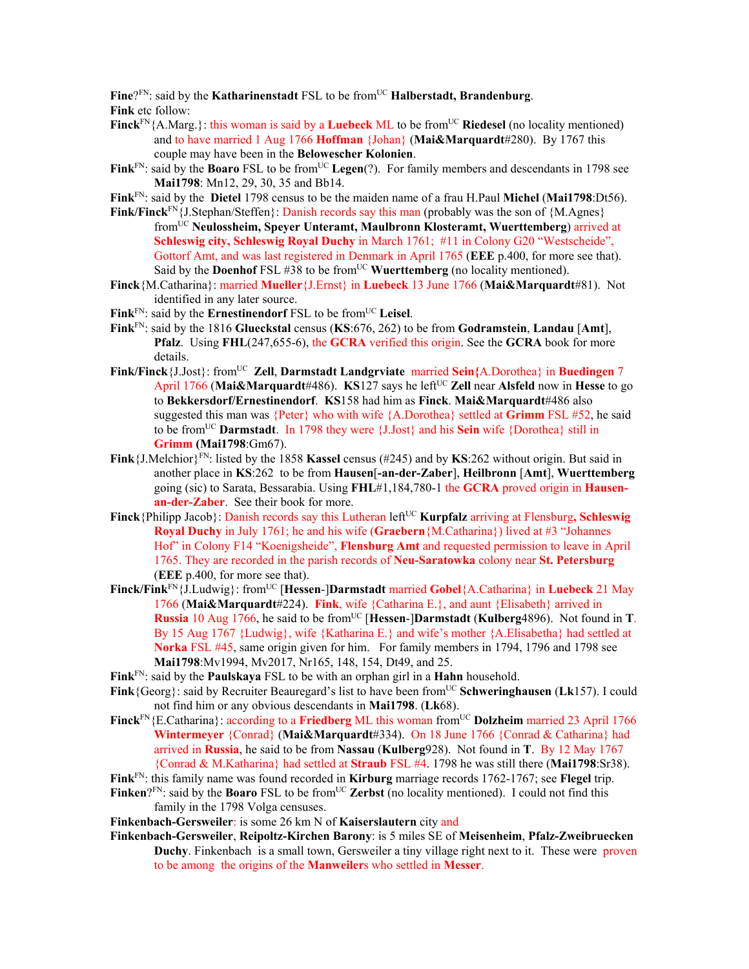Fine?<sup>FN</sup>: said by the **Katharinenstadt** FSL to be from<sup>UC</sup> **Halberstadt, Brandenburg**. **Fink** etc follow:

- **Finck**<sup>FN</sup>{A.Marg.}: this woman is said by a **Luebeck** ML to be from<sup>UC</sup> **Riedesel** (no locality mentioned) and to have married 1 Aug 1766 **Hoffman** {Johan} (**Mai&Marquardt**#280). By 1767 this couple may have been in the **Belowescher Kolonien**.
- Fink<sup>FN</sup>: said by the **Boaro** FSL to be from<sup>UC</sup> Legen(?). For family members and descendants in 1798 see **Mai1798**: Mn12, 29, 30, 35 and Bb14.
- **Fink**FN: said by the **Dietel** 1798 census to be the maiden name of a frau H.Paul **Michel** (**Mai1798**:Dt56).
- **Fink/Finck**FN{J.Stephan/Steffen}: Danish records say this man (probably was the son of {M.Agnes} fromUC **Neulossheim, Speyer Unteramt, Maulbronn Klosteramt, Wuerttemberg**) arrived at **Schleswig city, Schleswig Royal Duchy** in March 1761; #11 in Colony G20 "Westscheide", Gottorf Amt, and was last registered in Denmark in April 1765 (**EEE** p.400, for more see that). Said by the **Doenhof** FSL  $\#38$  to be from<sup>UC</sup> **Wuerttemberg** (no locality mentioned).
- **Finck**{M.Catharina}: married **Mueller**{J.Ernst} in **Luebeck** 13 June 1766 (**Mai&Marquardt**#81). Not identified in any later source.
- Fink<sup>FN</sup>: said by the **Ernestinendorf** FSL to be from<sup>UC</sup> Leisel.
- **Fink**FN: said by the 1816 **Glueckstal** census (**KS**:676, 262) to be from **Godramstein**, **Landau** [**Amt**], **Pfalz**. Using **FHL**(247,655-6), the **GCRA** verified this origin. See the **GCRA** book for more details.
- **Fink/Finck**{J.Jost}: fromUC **Zell**, **Darmstadt Landgrviate** married **Sein{**A.Dorothea} in **Buedingen** 7 April 1766 (Mai&Marquardt#486). **KS**127 says he left<sup>UC</sup> **Zell** near **Alsfeld** now in **Hesse** to go to **Bekkersdorf/Ernestinendorf**. **KS**158 had him as **Finck**. **Mai&Marquardt**#486 also suggested this man was {Peter} who with wife {A.Dorothea} settled at **Grimm** FSL #52, he said to be fromUC **Darmstadt**. In 1798 they were {J.Jost} and his **Sein** wife {Dorothea} still in **Grimm (Mai1798**:Gm67).
- **Fink**{J.Melchior}FN: listed by the 1858 **Kassel** census (#245) and by **KS**:262 without origin. But said in another place in **KS**:262 to be from **Hausen**[**-an-der-Zaber**], **Heilbronn** [**Amt**], **Wuerttemberg** going (sic) to Sarata, Bessarabia. Using **FHL**#1,184,780-1 the **GCRA** proved origin in **Hausenan-der-Zaber**. See their book for more.
- Finck {Philipp Jacob}: Danish records say this Lutheran left<sup>UC</sup> **Kurpfalz** arriving at Flensburg, Schleswig **Royal Duchy** in July 1761; he and his wife (**Graebern**{M.Catharina}) lived at #3 "Johannes Hof" in Colony F14 "Koenigsheide", **Flensburg Amt** and requested permission to leave in April 1765. They are recorded in the parish records of **Neu-Saratowka** colony near **St. Petersburg** (**EEE** p.400, for more see that).
- **Finck/Fink**FN{J.Ludwig}: fromUC [**Hessen**-]**Darmstadt** married **Gobel**{A.Catharina} in **Luebeck** 21 May 1766 (**Mai&Marquardt**#224). **Fink**, wife {Catharina E.}, and aunt {Elisabeth} arrived in **Russia** 10 Aug 1766, he said to be from<sup>UC</sup> [Hessen-]Darmstadt (Kulberg4896). Not found in **T**. By 15 Aug 1767 {Ludwig}, wife {Katharina E.} and wife's mother {A.Elisabetha} had settled at **Norka** FSL #45, same origin given for him. For family members in 1794, 1796 and 1798 see **Mai1798**:Mv1994, Mv2017, Nr165, 148, 154, Dt49, and 25.
- **Fink**FN: said by the **Paulskaya** FSL to be with an orphan girl in a **Hahn** household.
- **Fink**{Georg}: said by Recruiter Beauregard's list to have been from<sup>UC</sup> Schweringhausen (Lk157). I could not find him or any obvious descendants in **Mai1798**. (**Lk**68).
- **Finck**<sup>FN</sup>{E.Catharina}: according to a **Friedberg** ML this woman from<sup>UC</sup> Dolzheim married 23 April 1766 **Wintermeyer** {Conrad} (**Mai&Marquardt**#334). On 18 June 1766 {Conrad & Catharina} had arrived in **Russia**, he said to be from **Nassau** (**Kulberg**928). Not found in **T**. By 12 May 1767 {Conrad & M.Katharina} had settled at **Straub** FSL #4. 1798 he was still there (**Mai1798**:Sr38).
- **Fink**FN: this family name was found recorded in **Kirburg** marriage records 1762-1767; see **Flegel** trip.
- **Finken**?<sup>FN</sup>: said by the **Boaro** FSL to be from<sup>UC</sup> **Zerbst** (no locality mentioned). I could not find this family in the 1798 Volga censuses.
- **Finkenbach-Gersweiler**: is some 26 km N of **Kaiserslautern** city and
- **Finkenbach-Gersweiler**, **Reipoltz-Kirchen Barony**: is 5 miles SE of **Meisenheim**, **Pfalz-Zweibruecken Duchy**. Finkenbach is a small town, Gersweiler a tiny village right next to it. These were proven to be among the origins of the **Manweiler**s who settled in **Messer**.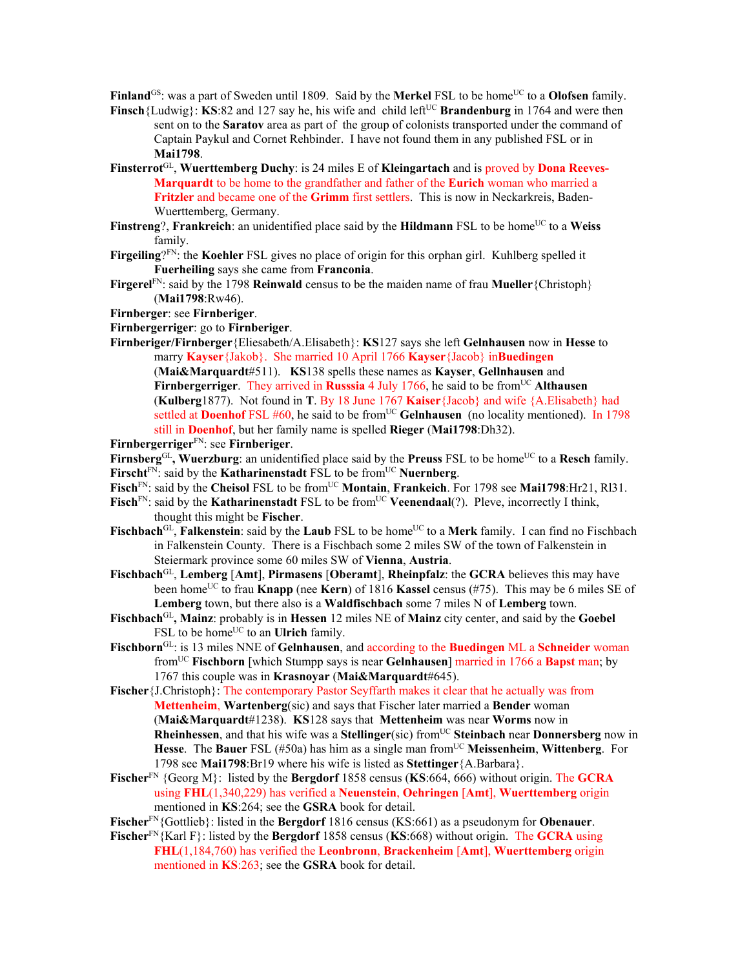**Finland**<sup>GS</sup>: was a part of Sweden until 1809. Said by the **Merkel** FSL to be home<sup>UC</sup> to a **Olofsen** family.

- **Finsch**{Ludwig}: **KS**:82 and 127 say he, his wife and child left<sup>UC</sup> **Brandenburg** in 1764 and were then sent on to the **Saratov** area as part of the group of colonists transported under the command of Captain Paykul and Cornet Rehbinder. I have not found them in any published FSL or in **Mai1798**.
- **Finsterrot**GL, **Wuerttemberg Duchy**: is 24 miles E of **Kleingartach** and is proved by **Dona Reeves-Marquardt** to be home to the grandfather and father of the **Eurich** woman who married a **Fritzler** and became one of the **Grimm** first settlers. This is now in Neckarkreis, Baden-Wuerttemberg, Germany.
- **Finstreng**?, **Frankreich**: an unidentified place said by the **Hildmann** FSL to be home<sup>UC</sup> to a Weiss family.
- **Firgeiling**?FN: the **Koehler** FSL gives no place of origin for this orphan girl. Kuhlberg spelled it **Fuerheiling** says she came from **Franconia**.
- **Firgerel**<sup>FN</sup>: said by the 1798 **Reinwald** census to be the maiden name of frau **Mueller**{Christoph} (**Mai1798**:Rw46).

## **Firnberger**: see **Firnberiger**.

- **Firnbergerriger**: go to **Firnberiger**.
- **Firnberiger/Firnberger**{Eliesabeth/A.Elisabeth}: **KS**127 says she left **Gelnhausen** now in **Hesse** to marry **Kayser**{Jakob}. She married 10 April 1766 **Kayser**{Jacob} in**Buedingen**

(**Mai&Marquardt**#511). **KS**138 spells these names as **Kayser**, **Gellnhausen** and **Firnbergerriger**. They arrived in **Russsia** 4 July 1766, he said to be from<sup>UC</sup> Althausen (**Kulberg**1877). Not found in **T**. By 18 June 1767 **Kaiser**{Jacob} and wife {A.Elisabeth} had settled at **Doenhof** FSL #60, he said to be from<sup>UC</sup> Gelnhausen (no locality mentioned). In 1798 still in **Doenhof**, but her family name is spelled **Rieger** (**Mai1798**:Dh32).

- **Firnbergerriger**FN: see **Firnberiger**.
- Firnsberg<sup>GL</sup>, Wuerzburg: an unidentified place said by the Preuss FSL to be home<sup>UC</sup> to a Resch family.
- Firscht<sup>FN</sup>: said by the **Katharinenstadt** FSL to be from<sup>UC</sup> **Nuernberg**.
- Fisch<sup>FN</sup>: said by the Cheisol FSL to be from<sup>UC</sup> Montain, Frankeich. For 1798 see Mai1798:Hr21, Rl31.
- **Fisch**<sup>FN</sup>: said by the **Katharinenstadt** FSL to be from<sup>UC</sup> **Veenendaal**(?). Pleve, incorrectly I think, thought this might be **Fischer**.
- Fischbach<sup>GL</sup>, **Falkenstein**: said by the **Laub** FSL to be home<sup>UC</sup> to a Merk family. I can find no Fischbach in Falkenstein County. There is a Fischbach some 2 miles SW of the town of Falkenstein in Steiermark province some 60 miles SW of **Vienna**, **Austria**.
- **Fischbach**GL, **Lemberg** [**Amt**], **Pirmasens** [**Oberamt**], **Rheinpfalz**: the **GCRA** believes this may have been homeUC to frau **Knapp** (nee **Kern**) of 1816 **Kassel** census (#75). This may be 6 miles SE of **Lemberg** town, but there also is a **Waldfischbach** some 7 miles N of **Lemberg** town.
- **Fischbach**GL**, Mainz**: probably is in **Hessen** 12 miles NE of **Mainz** city center, and said by the **Goebel** FSL to be home<sup>UC</sup> to an **Ulrich** family.
- **Fischborn**GL: is 13 miles NNE of **Gelnhausen**, and according to the **Buedingen** ML a **Schneider** woman fromUC **Fischborn** [which Stumpp says is near **Gelnhausen**] married in 1766 a **Bapst** man; by 1767 this couple was in **Krasnoyar** (**Mai&Marquardt**#645).

**Fischer** {J.Christoph}: The contemporary Pastor Seyffarth makes it clear that he actually was from **Mettenheim**, **Wartenberg**(sic) and says that Fischer later married a **Bender** woman (**Mai&Marquardt**#1238). **KS**128 says that **Mettenheim** was near **Worms** now in **Rheinhessen**, and that his wife was a **Stellinger**(sic) from<sup>UC</sup> **Steinbach** near **Donnersberg** now in **Hesse**. The **Bauer** FSL (#50a) has him as a single man fromUC **Meissenheim**, **Wittenberg**. For 1798 see **Mai1798**:Br19 where his wife is listed as **Stettinger**{A.Barbara}.

- **Fischer**FN {Georg M}: listed by the **Bergdorf** 1858 census (**KS**:664, 666) without origin. The **GCRA** using **FHL**(1,340,229) has verified a **Neuenstein**, **Oehringen** [**Amt**], **Wuerttemberg** origin mentioned in **KS**:264; see the **GSRA** book for detail.
- **Fischer**FN{Gottlieb}: listed in the **Bergdorf** 1816 census (KS:661) as a pseudonym for **Obenauer**.
- **Fischer**FN{Karl F}: listed by the **Bergdorf** 1858 census (**KS**:668) without origin. The **GCRA** using **FHL**(1,184,760) has verified the **Leonbronn**, **Brackenheim** [**Amt**], **Wuerttemberg** origin mentioned in **KS**:263; see the **GSRA** book for detail.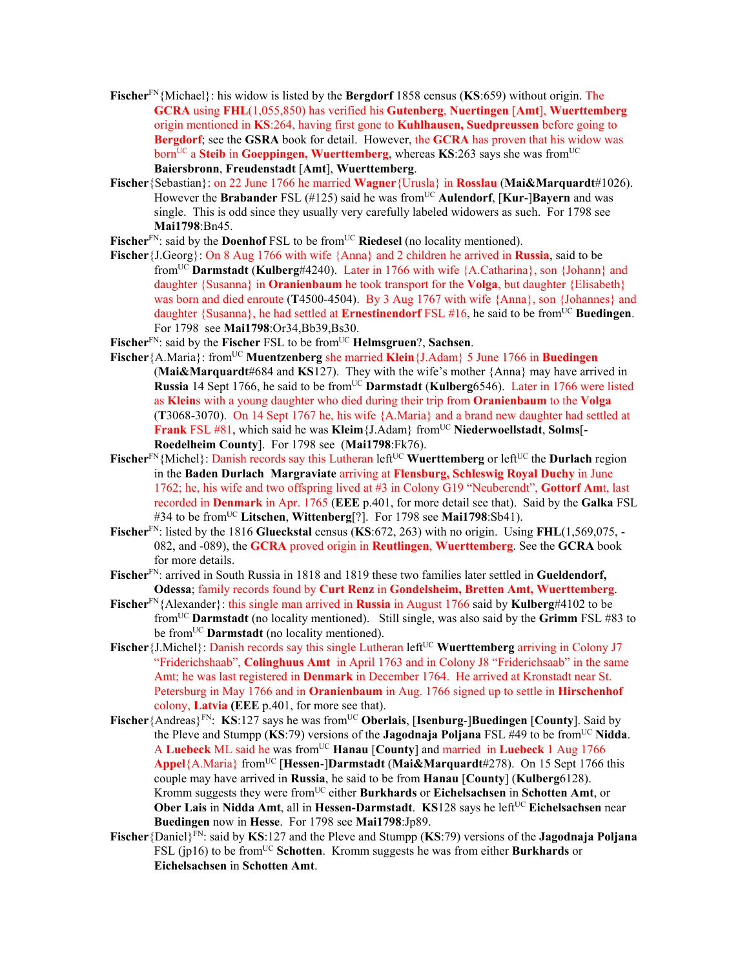- **Fischer**FN{Michael}: his widow is listed by the **Bergdorf** 1858 census (**KS**:659) without origin. The **GCRA** using **FHL**(1,055,850) has verified his **Gutenberg**, **Nuertingen** [**Amt**], **Wuerttemberg** origin mentioned in **KS**:264, having first gone to **Kuhlhausen, Suedpreussen** before going to **Bergdorf**; see the **GSRA** book for detail. However, the **GCRA** has proven that his widow was born<sup>UC</sup> a **Steib** in **Goeppingen, Wuerttemberg**, whereas **KS**:263 says she was from<sup>UC</sup> **Baiersbronn**, **Freudenstadt** [**Amt**], **Wuerttemberg**.
- **Fischer**{Sebastian}: on 22 June 1766 he married **Wagner**{Urusla} in **Rosslau** (**Mai&Marquardt**#1026). However the **Brabander** FSL (#125) said he was fromUC **Aulendorf**, [**Kur**-]**Bayern** and was single. This is odd since they usually very carefully labeled widowers as such. For 1798 see **Mai1798**:Bn45.
- Fischer<sup>FN</sup>: said by the **Doenhof** FSL to be from<sup>UC</sup> Riedesel (no locality mentioned).
- **Fischer**{J.Georg}: On 8 Aug 1766 with wife {Anna} and 2 children he arrived in **Russia**, said to be fromUC **Darmstadt** (**Kulberg**#4240). Later in 1766 with wife {A.Catharina}, son {Johann} and daughter {Susanna} in **Oranienbaum** he took transport for the **Volga**, but daughter {Elisabeth} was born and died enroute (**T**4500-4504). By 3 Aug 1767 with wife {Anna}, son {Johannes} and daughter {Susanna}, he had settled at **Ernestinendorf** FSL #16, he said to be fromUC **Buedingen**. For 1798 see **Mai1798**:Or34,Bb39,Bs30.
- Fischer<sup>FN</sup>: said by the Fischer FSL to be from<sup>UC</sup> **Helmsgruen**?, Sachsen.
- **Fischer**{A.Maria}: fromUC **Muentzenberg** she married **Klein**{J.Adam} 5 June 1766 in **Buedingen** (**Mai&Marquardt**#684 and **KS**127). They with the wife's mother {Anna} may have arrived in **Russia** 14 Sept 1766, he said to be from<sup>UC</sup> **Darmstadt** (**Kulberg**6546). Later in 1766 were listed as **Klein**s with a young daughter who died during their trip from **Oranienbaum** to the **Volga** (**T**3068-3070). On 14 Sept 1767 he, his wife {A.Maria} and a brand new daughter had settled at **Frank** FSL #81, which said he was **Kleim** {J.Adam} from<sup>UC</sup> **Niederwoellstadt**, **Solms**[-**Roedelheim County**]. For 1798 see (**Mai1798**:Fk76).
- Fischer<sup>FN</sup>{Michel}: Danish records say this Lutheran left<sup>UC</sup> Wuerttemberg or left<sup>UC</sup> the Durlach region in the **Baden Durlach Margraviate** arriving at **Flensburg, Schleswig Royal Duchy** in June 1762; he, his wife and two offspring lived at #3 in Colony G19 "Neuberendt", **Gottorf Am**t, last recorded in **Denmark** in Apr. 1765 (**EEE** p.401, for more detail see that). Said by the **Galka** FSL #34 to be from<sup>UC</sup> Litschen, Wittenberg<sup>[?]</sup>. For 1798 see Mai1798:Sb41).
- **Fischer**FN: listed by the 1816 **Glueckstal** census (**KS**:672, 263) with no origin. Using **FHL**(1,569,075, 082, and -089), the **GCRA** proved origin in **Reutlingen**, **Wuerttemberg**. See the **GCRA** book for more details.
- **Fischer**FN: arrived in South Russia in 1818 and 1819 these two families later settled in **Gueldendorf, Odessa**; family records found by **Curt Renz** in **Gondelsheim, Bretten Amt, Wuerttemberg**.
- **Fischer**FN{Alexander}: this single man arrived in **Russia** in August 1766 said by **Kulberg**#4102 to be fromUC **Darmstadt** (no locality mentioned). Still single, was also said by the **Grimm** FSL #83 to be from<sup>UC</sup> **Darmstadt** (no locality mentioned).
- Fischer {J.Michel}: Danish records say this single Lutheran left<sup>UC</sup> Wuerttemberg arriving in Colony J7 "Friderichshaab", **Colinghuus Amt** in April 1763 and in Colony J8 "Friderichsaab" in the same Amt; he was last registered in **Denmark** in December 1764. He arrived at Kronstadt near St. Petersburg in May 1766 and in **Oranienbaum** in Aug. 1766 signed up to settle in **Hirschenhof**  colony, **Latvia (EEE** p.401, for more see that).
- **Fischer**{Andreas}FN: **KS**:127 says he was fromUC **Oberlais**, [**Isenburg**-]**Buedingen** [**County**]. Said by the Pleve and Stumpp (**KS**:79) versions of the **Jagodnaja Poljana** FSL #49 to be fromUC **Nidda**. A Luebeck ML said he was from<sup>UC</sup> Hanau [County] and married in Luebeck 1 Aug 1766 **Appel**{A.Maria} fromUC [**Hessen**-]**Darmstadt** (**Mai&Marquardt**#278). On 15 Sept 1766 this couple may have arrived in **Russia**, he said to be from **Hanau** [**County**] (**Kulberg**6128). Kromm suggests they were fromUC either **Burkhards** or **Eichelsachsen** in **Schotten Amt**, or **Ober Lais** in Nidda Amt, all in Hessen-Darmstadt. **KS**128 says he left<sup>UC</sup> Eichelsachsen near **Buedingen** now in **Hesse**. For 1798 see **Mai1798**:Jp89.
- **Fischer**{Daniel}FN: said by **KS**:127 and the Pleve and Stumpp (**KS**:79) versions of the **Jagodnaja Poljana**  FSL (jp16) to be from<sup>UC</sup> Schotten. Kromm suggests he was from either **Burkhards** or **Eichelsachsen** in **Schotten Amt**.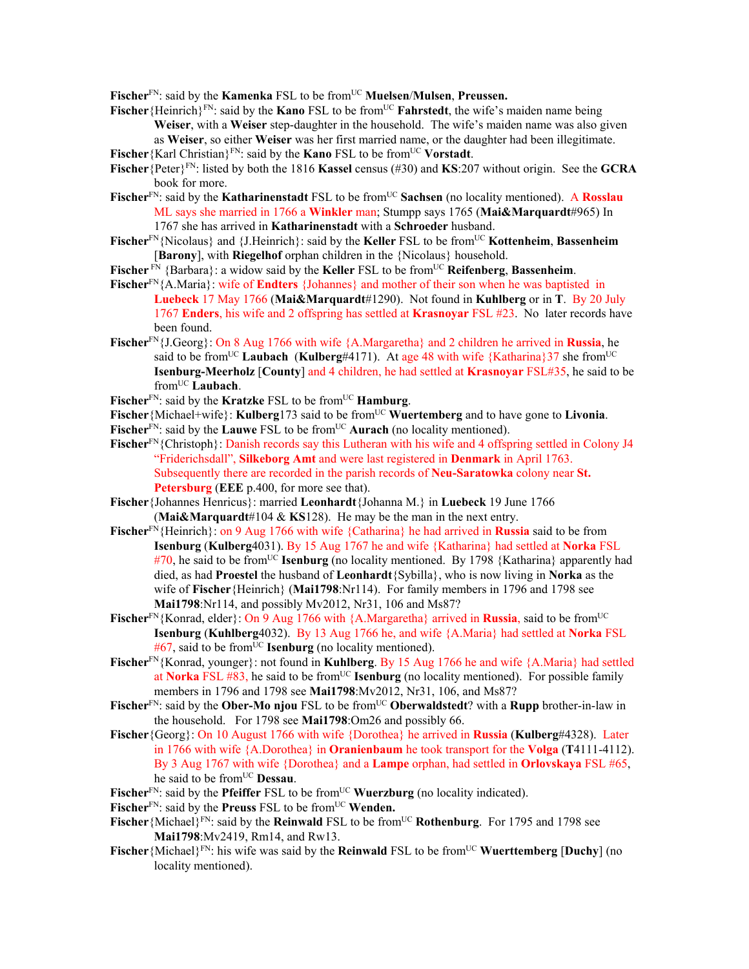Fischer<sup>FN</sup>: said by the **Kamenka** FSL to be from<sup>UC</sup> **Muelsen/Mulsen, Preussen.** 

- Fischer {Heinrich}<sup>FN</sup>: said by the **Kano** FSL to be from<sup>UC</sup> **Fahrstedt**, the wife's maiden name being **Weiser**, with a **Weiser** step-daughter in the household. The wife's maiden name was also given as **Weiser**, so either **Weiser** was her first married name, or the daughter had been illegitimate.
- **Fischer** {Karl Christian}<sup>FN</sup>: said by the **Kano** FSL to be from<sup>UC</sup> **Vorstadt**.
- **Fischer**{Peter}FN: listed by both the 1816 **Kassel** census (#30) and **KS**:207 without origin. See the **GCRA** book for more.
- **Fischer**FN: said by the **Katharinenstadt** FSL to be fromUC **Sachsen** (no locality mentioned). A **Rosslau** ML says she married in 1766 a **Winkler** man; Stumpp says 1765 (**Mai&Marquardt**#965) In 1767 she has arrived in **Katharinenstadt** with a **Schroeder** husband.
- **Fischer**<sup>FN</sup>{Nicolaus} and {J.Heinrich}: said by the **Keller** FSL to be from<sup>UC</sup> **Kottenheim**, **Bassenheim** [**Barony**], with **Riegelhof** orphan children in the {Nicolaus} household.
- **Fischer** FN {Barbara}: a widow said by the **Keller** FSL to be from<sup>UC</sup> **Reifenberg**, **Bassenheim**.
- **Fischer**FN{A.Maria}: wife of **Endters** {Johannes} and mother of their son when he was baptisted in **Luebeck** 17 May 1766 (**Mai&Marquardt**#1290). Not found in **Kuhlberg** or in **T**. By 20 July 1767 **Enders**, his wife and 2 offspring has settled at **Krasnoyar** FSL #23. No later records have been found.
- **Fischer**FN{J.Georg}: On 8 Aug 1766 with wife {A.Margaretha} and 2 children he arrived in **Russia**, he said to be from<sup>UC</sup> Laubach (Kulberg#4171). At age 48 with wife  ${Katharina}$ 37 she from<sup>UC</sup> **Isenburg-Meerholz** [**County**] and 4 children, he had settled at **Krasnoyar** FSL#35, he said to be fromUC **Laubach**.
- Fischer<sup>FN</sup>: said by the **Kratzke** FSL to be from<sup>UC</sup> **Hamburg**.
- Fischer {Michael+wife}: **Kulberg**173 said to be from<sup>UC</sup> **Wuertemberg** and to have gone to **Livonia**.
- Fischer<sup>FN</sup>: said by the **Lauwe** FSL to be from<sup>UC</sup> **Aurach** (no locality mentioned).
- Fischer<sup>FN</sup>{Christoph}: Danish records say this Lutheran with his wife and 4 offspring settled in Colony J4 "Friderichsdall", **Silkeborg Amt** and were last registered in **Denmark** in April 1763. Subsequently there are recorded in the parish records of **Neu-Saratowka** colony near **St. Petersburg** (**EEE** p.400, for more see that).
- **Fischer**{Johannes Henricus}: married **Leonhardt**{Johanna M.} in **Luebeck** 19 June 1766 (**Mai&Marquardt**#104 & **KS**128). He may be the man in the next entry.
- **Fischer**FN{Heinrich}: on 9 Aug 1766 with wife {Catharina} he had arrived in **Russia** said to be from **Isenburg** (**Kulberg**4031). By 15 Aug 1767 he and wife {Katharina} had settled at **Norka** FSL #70, he said to be fromUC **Isenburg** (no locality mentioned. By 1798 {Katharina} apparently had died, as had **Proestel** the husband of **Leonhardt**{Sybilla}, who is now living in **Norka** as the wife of **Fischer**{Heinrich} (**Mai1798**:Nr114). For family members in 1796 and 1798 see **Mai1798**:Nr114, and possibly Mv2012, Nr31, 106 and Ms87?
- **Fischer**<sup>FN</sup>{Konrad, elder}: On 9 Aug 1766 with {A.Margaretha} arrived in **Russia**, said to be from<sup>UC</sup> **Isenburg** (**Kuhlberg**4032). By 13 Aug 1766 he, and wife {A.Maria} had settled at **Norka** FSL  $#67$ , said to be from<sup>UC</sup> **Isenburg** (no locality mentioned).
- **Fischer**FN{Konrad, younger}: not found in **Kuhlberg**. By 15 Aug 1766 he and wife {A.Maria} had settled at **Norka** FSL #83, he said to be from<sup>UC</sup> **Isenburg** (no locality mentioned). For possible family members in 1796 and 1798 see **Mai1798**:Mv2012, Nr31, 106, and Ms87?
- **Fischer**<sup>FN</sup>: said by the **Ober-Mo njou** FSL to be from<sup>UC</sup> **Oberwaldstedt**? with a **Rupp** brother-in-law in the household. For 1798 see **Mai1798**:Om26 and possibly 66.
- **Fischer**{Georg}: On 10 August 1766 with wife {Dorothea} he arrived in **Russia** (**Kulberg**#4328). Later in 1766 with wife {A.Dorothea} in **Oranienbaum** he took transport for the **Volga** (**T**4111-4112). By 3 Aug 1767 with wife {Dorothea} and a **Lampe** orphan, had settled in **Orlovskaya** FSL #65, he said to be from<sup>UC</sup> Dessau.
- Fischer<sup>FN</sup>: said by the **Pfeiffer** FSL to be from<sup>UC</sup> **Wuerzburg** (no locality indicated).
- Fischer<sup>FN</sup>: said by the **Preuss** FSL to be from<sup>UC</sup> **Wenden.**
- Fischer {Michael}<sup>FN</sup>: said by the **Reinwald** FSL to be from<sup>UC</sup> **Rothenburg**. For 1795 and 1798 see **Mai1798**:Mv2419, Rm14, and Rw13.
- **Fischer**{Michael}<sup>FN</sup>: his wife was said by the **Reinwald** FSL to be from<sup>UC</sup> **Wuerttemberg** [Duchy] (no locality mentioned).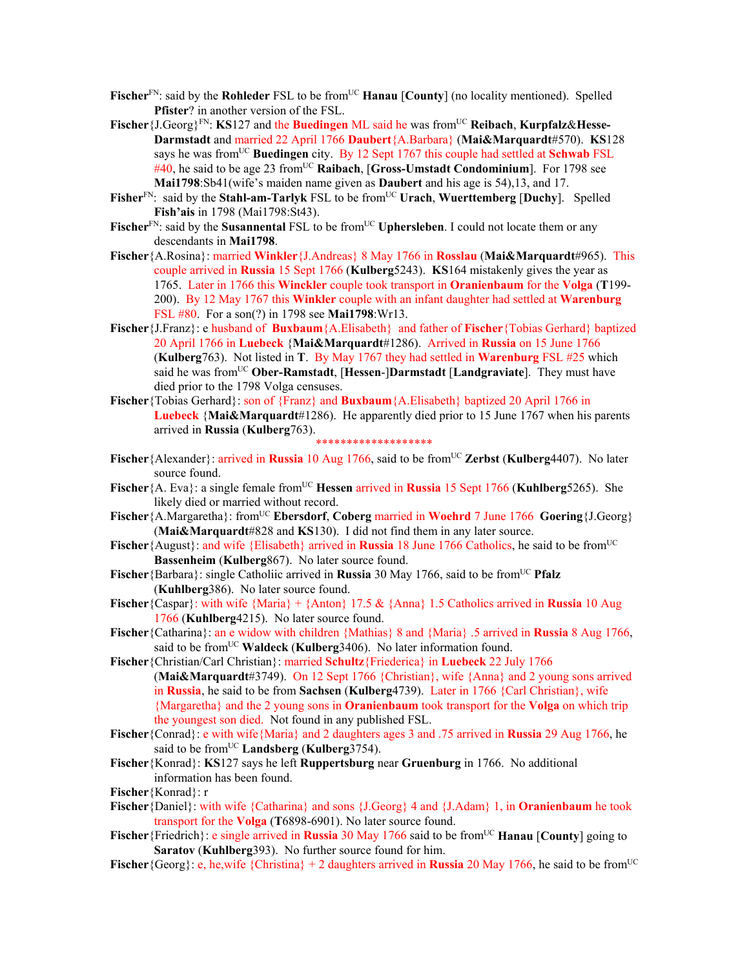- **Fischer**<sup>FN</sup>: said by the **Rohleder** FSL to be from<sup>UC</sup> **Hanau** [County] (no locality mentioned). Spelled **Pfister**? in another version of the FSL.
- **Fischer** { $J.Georg$ }<sup>FN</sup>: **KS**127 and the **Buedingen** ML said he was from<sup>UC</sup> **Reibach**, **Kurpfalz&Hesse-Darmstadt** and married 22 April 1766 **Daubert**{A.Barbara} (**Mai&Marquardt**#570). **KS**128 says he was fromUC **Buedingen** city. By 12 Sept 1767 this couple had settled at **Schwab** FSL #40, he said to be age 23 from<sup>UC</sup> Raibach, [Gross-Umstadt Condominium]. For 1798 see **Mai1798**:Sb41(wife's maiden name given as **Daubert** and his age is 54),13, and 17.
- **Fisher**FN: said by the **Stahl-am-Tarlyk** FSL to be fromUC **Urach**, **Wuerttemberg** [**Duchy**]. Spelled **Fish'ais** in 1798 (Mai1798:St43).
- Fischer<sup>FN</sup>: said by the **Susannental** FSL to be from<sup>UC</sup> Uphersleben. I could not locate them or any descendants in **Mai1798**.
- **Fischer**{A.Rosina}: married **Winkler**{J.Andreas} 8 May 1766 in **Rosslau** (**Mai&Marquardt**#965). This couple arrived in **Russia** 15 Sept 1766 (**Kulberg**5243). **KS**164 mistakenly gives the year as 1765. Later in 1766 this **Winckler** couple took transport in **Oranienbaum** for the **Volga** (**T**199- 200). By 12 May 1767 this **Winkler** couple with an infant daughter had settled at **Warenburg** FSL #80. For a son(?) in 1798 see **Mai1798**:Wr13.
- **Fischer**{J.Franz}: e husband of **Buxbaum**{A.Elisabeth} and father of **Fischer**{Tobias Gerhard} baptized 20 April 1766 in **Luebeck** {**Mai&Marquardt**#1286). Arrived in **Russia** on 15 June 1766 (**Kulberg**763). Not listed in **T**. By May 1767 they had settled in **Warenburg** FSL #25 which said he was fromUC **Ober-Ramstadt**, [**Hessen**-]**Darmstadt** [**Landgraviate**]. They must have died prior to the 1798 Volga censuses.
- **Fischer**{Tobias Gerhard}: son of {Franz} and **Buxbaum**{A.Elisabeth} baptized 20 April 1766 in **Luebeck** {**Mai&Marquardt**#1286). He apparently died prior to 15 June 1767 when his parents arrived in **Russia** (**Kulberg**763). \*\*\*\*\*\*\*\*\*\*\*\*\*\*\*\*\*\*\*
- **Fischer**{Alexander}: arrived in **Russia** 10 Aug 1766, said to be from<sup>UC</sup> Zerbst (Kulberg4407). No later source found.
- **Fischer**{A. Eva}: a single female from<sup>UC</sup> **Hessen arrived in Russia** 15 Sept 1766 (**Kuhlberg**5265). She likely died or married without record.
- **Fischer**{A.Margaretha}: from<sup>UC</sup> **Ebersdorf**, **Coberg married in Woehrd** 7 June 1766 **Goering**{J.Georg} (**Mai&Marquardt**#828 and **KS**130). I did not find them in any later source.
- **Fischer**{August}: and wife {Elisabeth} arrived in **Russia** 18 June 1766 Catholics, he said to be from<sup>UC</sup> **Bassenheim** (**Kulberg**867). No later source found.
- **Fischer** {Barbara}: single Catholiic arrived in **Russia** 30 May 1766, said to be from<sup>UC</sup> **Pfalz** (**Kuhlberg**386). No later source found.
- **Fischer**{Caspar}: with wife {Maria} + {Anton} 17.5 & {Anna} 1.5 Catholics arrived in **Russia** 10 Aug 1766 (**Kuhlberg**4215). No later source found.
- **Fischer**{Catharina}: an e widow with children {Mathias} 8 and {Maria} .5 arrived in **Russia** 8 Aug 1766, said to be from<sup>UC</sup> Waldeck (Kulberg<sup>3406</sup>). No later information found.
- **Fischer**{Christian/Carl Christian}: married **Schultz**{Friederica} in **Luebeck** 22 July 1766 (**Mai&Marquardt**#3749). On 12 Sept 1766 {Christian}, wife {Anna} and 2 young sons arrived in **Russia**, he said to be from **Sachsen** (**Kulberg**4739). Later in 1766 {Carl Christian}, wife {Margaretha} and the 2 young sons in **Oranienbaum** took transport for the **Volga** on which trip the youngest son died. Not found in any published FSL.
- **Fischer**{Conrad}: e with wife{Maria} and 2 daughters ages 3 and .75 arrived in **Russia** 29 Aug 1766, he said to be from<sup>UC</sup> Landsberg (Kulberg<sup>3754)</sup>.
- **Fischer**{Konrad}: **KS**127 says he left **Ruppertsburg** near **Gruenburg** in 1766. No additional information has been found.
- **Fischer**{Konrad}: r
- **Fischer**{Daniel}: with wife {Catharina} and sons {J.Georg} 4 and {J.Adam} 1, in **Oranienbaum** he took transport for the **Volga** (**T**6898-6901). No later source found.
- **Fischer**{Friedrich}: e single arrived in **Russia** 30 May 1766 said to be from<sup>UC</sup> **Hanau** [**County**] going to **Saratov** (**Kuhlberg**393). No further source found for him.
- **Fischer**{Georg}: e, he,wife {Christina} + 2 daughters arrived in **Russia** 20 May 1766, he said to be from<sup>UC</sup>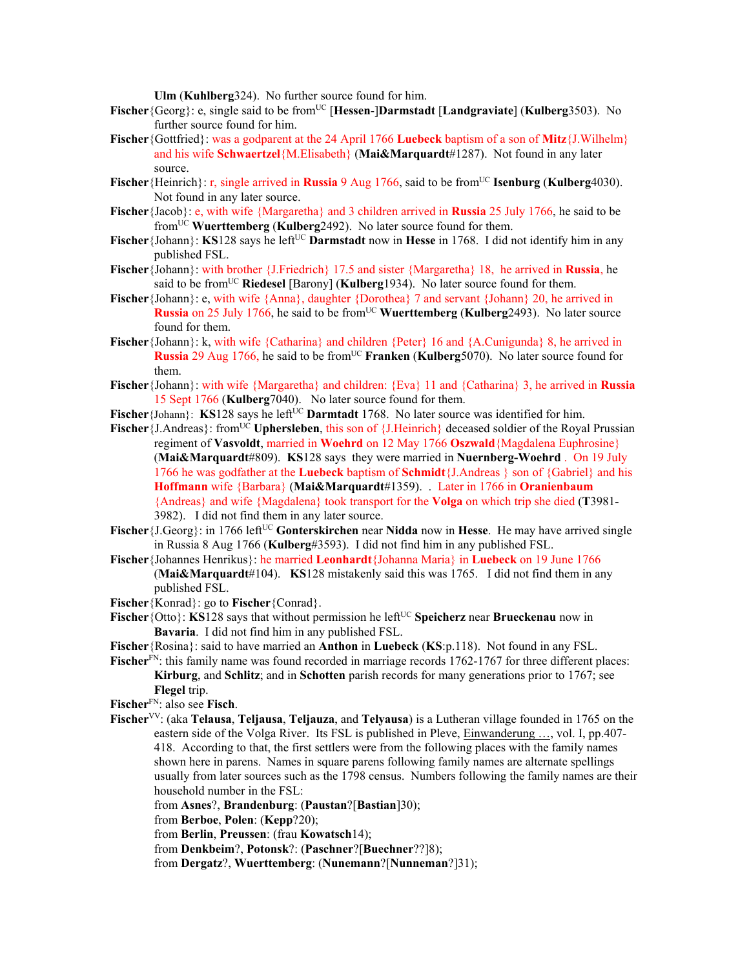**Ulm** (**Kuhlberg**324). No further source found for him.

- **Fischer**{Georg}: e, single said to be fromUC [**Hessen**-]**Darmstadt** [**Landgraviate**] (**Kulberg**3503). No further source found for him.
- **Fischer**{Gottfried}: was a godparent at the 24 April 1766 **Luebeck** baptism of a son of **Mitz**{J.Wilhelm} and his wife **Schwaertzel**{M.Elisabeth} (**Mai&Marquardt**#1287). Not found in any later source.
- **Fischer**{Heinrich}: r, single arrived in **Russia** 9 Aug 1766, said to be from<sup>UC</sup> **Isenburg** (**Kulberg**4030). Not found in any later source.
- **Fischer** {Jacob}: e, with wife {Margaretha} and 3 children arrived in **Russia** 25 July 1766, he said to be from<sup>UC</sup> **Wuerttemberg** (**Kulberg**<sup>2492</sup>). No later source found for them.
- **Fischer**{Johann}: **KS**128 says he left<sup>UC</sup> **Darmstadt** now in **Hesse** in 1768. I did not identify him in any published FSL.
- **Fischer**{Johann}: with brother {J.Friedrich} 17.5 and sister {Margaretha} 18, he arrived in **Russia**, he said to be from<sup>UC</sup> **Riedesel** [Barony] (**Kulberg**1934). No later source found for them.
- **Fischer** {Johann}: e, with wife {Anna}, daughter {Dorothea} 7 and servant {Johann} 20, he arrived in **Russia** on 25 July 1766, he said to be from<sup>UC</sup> Wuerttemberg (Kulberg2493). No later source found for them.
- **Fischer**{Johann}: k, with wife {Catharina} and children {Peter} 16 and {A.Cunigunda} 8, he arrived in **Russia** 29 Aug 1766, he said to be from<sup>UC</sup> **Franken** (**Kulberg**5070). No later source found for them.
- **Fischer**{Johann}: with wife {Margaretha} and children: {Eva} 11 and {Catharina} 3, he arrived in **Russia** 15 Sept 1766 (**Kulberg**7040). No later source found for them.
- **Fischer** {Johann}: **KS**128 says he left<sup>UC</sup> **Darmtadt** 1768. No later source was identified for him.
- **Fischer** {J.Andreas}: from<sup>UC</sup> **Uphersleben**, this son of {J.Heinrich} deceased soldier of the Royal Prussian regiment of **Vasvoldt**, married in **Woehrd** on 12 May 1766 **Oszwald**{Magdalena Euphrosine} (**Mai&Marquardt**#809). **KS**128 says they were married in **Nuernberg-Woehrd** . On 19 July 1766 he was godfather at the **Luebeck** baptism of **Schmidt**{J.Andreas } son of {Gabriel} and his **Hoffmann** wife {Barbara} (**Mai&Marquardt**#1359). . Later in 1766 in **Oranienbaum** {Andreas} and wife {Magdalena} took transport for the **Volga** on which trip she died (**T**3981- 3982). I did not find them in any later source.
- **Fischer** {J.Georg}: in 1766 left<sup>UC</sup> **Gonterskirchen** near **Nidda** now in **Hesse**. He may have arrived single in Russia 8 Aug 1766 (**Kulberg**#3593). I did not find him in any published FSL.
- **Fischer**{Johannes Henrikus}: he married **Leonhardt**{Johanna Maria} in **Luebeck** on 19 June 1766 (**Mai&Marquardt**#104). **KS**128 mistakenly said this was 1765. I did not find them in any published FSL.
- **Fischer**{Konrad}: go to **Fischer**{Conrad}.
- **Fischer**{Otto}: **KS**128 says that without permission he left<sup>UC</sup> Speicherz near Brueckenau now in **Bavaria**. I did not find him in any published FSL.
- **Fischer**{Rosina}: said to have married an **Anthon** in **Luebeck** (**KS**:p.118). Not found in any FSL.
- **Fischer**<sup>FN</sup>: this family name was found recorded in marriage records 1762-1767 for three different places: **Kirburg**, and **Schlitz**; and in **Schotten** parish records for many generations prior to 1767; see **Flegel** trip.
- **Fischer**FN: also see **Fisch**.
- **Fischer**VV: (aka **Telausa**, **Teljausa**, **Teljauza**, and **Telyausa**) is a Lutheran village founded in 1765 on the eastern side of the Volga River. Its FSL is published in Pleve, Einwanderung …, vol. I, pp.407- 418. According to that, the first settlers were from the following places with the family names shown here in parens. Names in square parens following family names are alternate spellings usually from later sources such as the 1798 census. Numbers following the family names are their household number in the FSL:

from **Asnes**?, **Brandenburg**: (**Paustan**?[**Bastian**]30);

from **Berboe**, **Polen**: (**Kepp**?20);

from **Berlin**, **Preussen**: (frau **Kowatsch**14);

- from **Denkbeim**?, **Potonsk**?: (**Paschner**?[**Buechner**??]8);
- from **Dergatz**?, **Wuerttemberg**: (**Nunemann**?[**Nunneman**?]31);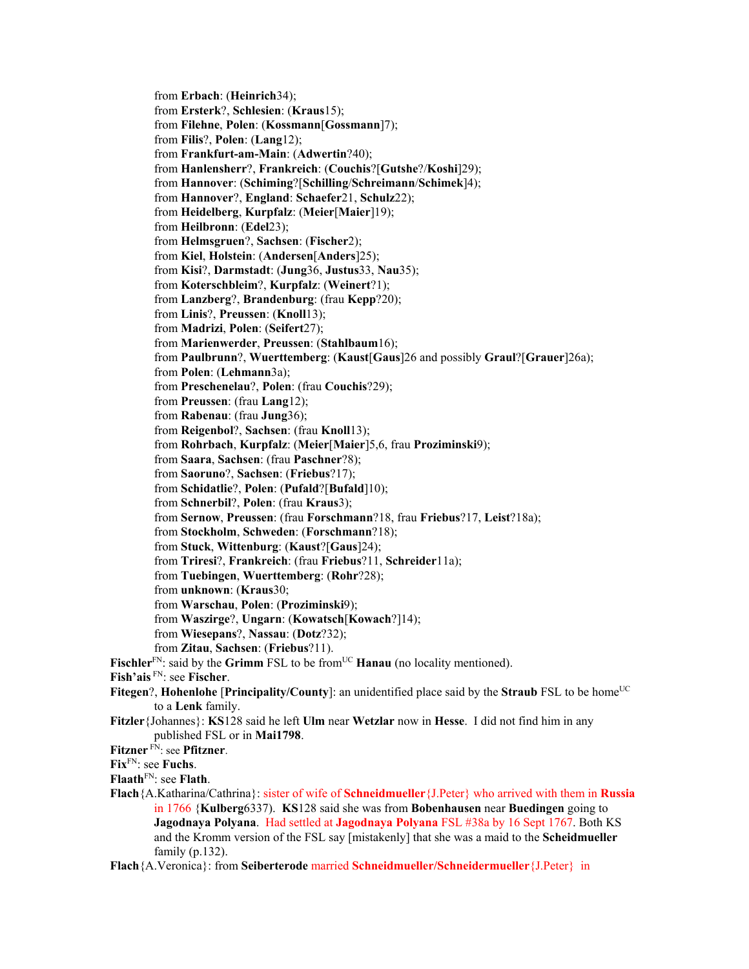from **Erbach**: (**Heinrich**34); from **Ersterk**?, **Schlesien**: (**Kraus**15); from **Filehne**, **Polen**: (**Kossmann**[**Gossmann**]7); from **Filis**?, **Polen**: (**Lang**12); from **Frankfurt-am-Main**: (**Adwertin**?40); from **Hanlensherr**?, **Frankreich**: (**Couchis**?[**Gutshe**?/**Koshi**]29); from **Hannover**: (**Schiming**?[**Schilling**/**Schreimann**/**Schimek**]4); from **Hannover**?, **England**: **Schaefer**21, **Schulz**22); from **Heidelberg**, **Kurpfalz**: (**Meier**[**Maier**]19); from **Heilbronn**: (**Edel**23); from **Helmsgruen**?, **Sachsen**: (**Fischer**2); from **Kiel**, **Holstein**: (**Andersen**[**Anders**]25); from **Kisi**?, **Darmstadt**: (**Jung**36, **Justus**33, **Nau**35); from **Koterschbleim**?, **Kurpfalz**: (**Weinert**?1); from **Lanzberg**?, **Brandenburg**: (frau **Kepp**?20); from **Linis**?, **Preussen**: (**Knoll**13); from **Madrizi**, **Polen**: (**Seifert**27); from **Marienwerder**, **Preussen**: (**Stahlbaum**16); from **Paulbrunn**?, **Wuerttemberg**: (**Kaust**[**Gaus**]26 and possibly **Graul**?[**Grauer**]26a); from **Polen**: (**Lehmann**3a); from **Preschenelau**?, **Polen**: (frau **Couchis**?29); from **Preussen**: (frau **Lang**12); from **Rabenau**: (frau **Jung**36); from **Reigenbol**?, **Sachsen**: (frau **Knoll**13); from **Rohrbach**, **Kurpfalz**: (**Meier**[**Maier**]5,6, frau **Proziminski**9); from **Saara**, **Sachsen**: (frau **Paschner**?8); from **Saoruno**?, **Sachsen**: (**Friebus**?17); from **Schidatlie**?, **Polen**: (**Pufald**?[**Bufald**]10); from **Schnerbil**?, **Polen**: (frau **Kraus**3); from **Sernow**, **Preussen**: (frau **Forschmann**?18, frau **Friebus**?17, **Leist**?18a); from **Stockholm**, **Schweden**: (**Forschmann**?18); from **Stuck**, **Wittenburg**: (**Kaust**?[**Gaus**]24); from **Triresi**?, **Frankreich**: (frau **Friebus**?11, **Schreider**11a); from **Tuebingen**, **Wuerttemberg**: (**Rohr**?28); from **unknown**: (**Kraus**30; from **Warschau**, **Polen**: (**Proziminski**9); from **Waszirge**?, **Ungarn**: (**Kowatsch**[**Kowach**?]14); from **Wiesepans**?, **Nassau**: (**Dotz**?32); from **Zitau**, **Sachsen**: (**Friebus**?11). **Fischler**<sup>FN</sup>: said by the **Grimm** FSL to be from<sup>UC</sup> **Hanau** (no locality mentioned). **Fish'ais** FN: see **Fischer**. **Fitegen?, Hohenlohe [Principality/County]:** an unidentified place said by the **Straub** FSL to be home<sup>UC</sup> to a **Lenk** family. **Fitzler**{Johannes}: **KS**128 said he left **Ulm** near **Wetzlar** now in **Hesse**. I did not find him in any published FSL or in **Mai1798**. **Fitzner** FN: see **Pfitzner**. **Fix**FN: see **Fuchs**. **Flaath**FN: see **Flath**. **Flach**{A.Katharina/Cathrina}: sister of wife of **Schneidmueller**{J.Peter} who arrived with them in **Russia** in 1766 {**Kulberg**6337). **KS**128 said she was from **Bobenhausen** near **Buedingen** going to **Jagodnaya Polyana**. Had settled at **Jagodnaya Polyana** FSL #38a by 16 Sept 1767. Both KS and the Kromm version of the FSL say [mistakenly] that she was a maid to the **Scheidmueller** family (p.132).

**Flach**{A.Veronica}: from **Seiberterode** married **Schneidmueller/Schneidermueller**{J.Peter} in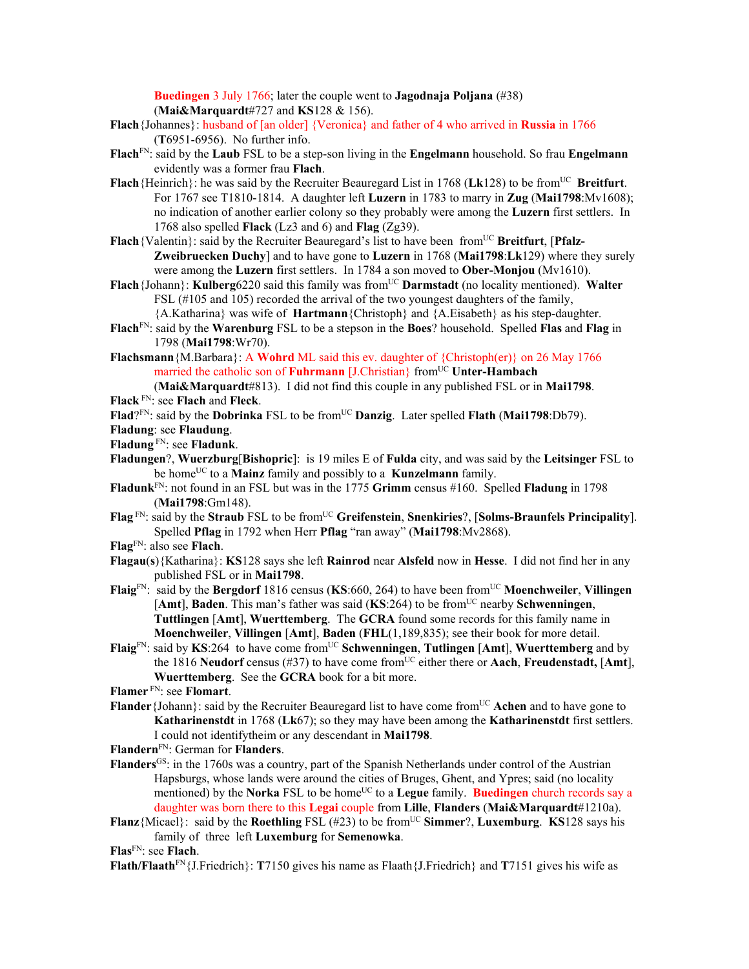**Buedingen** 3 July 1766; later the couple went to **Jagodnaja Poljana** (#38) (**Mai&Marquardt**#727 and **KS**128 & 156).

- **Flach**{Johannes}: husband of [an older] {Veronica} and father of 4 who arrived in **Russia** in 1766 (**T**6951-6956). No further info.
- **Flach**FN: said by the **Laub** FSL to be a step-son living in the **Engelmann** household. So frau **Engelmann** evidently was a former frau **Flach**.
- **Flach**{Heinrich}: he was said by the Recruiter Beauregard List in 1768 (Lk128) to be from<sup>UC</sup> Breitfurt. For 1767 see T1810-1814. A daughter left **Luzern** in 1783 to marry in **Zug** (**Mai1798**:Mv1608); no indication of another earlier colony so they probably were among the **Luzern** first settlers. In 1768 also spelled **Flack** (Lz3 and 6) and **Flag** (Zg39).
- Flach {Valentin}: said by the Recruiter Beauregard's list to have been from<sup>UC</sup> Breitfurt, [Pfalz-**Zweibruecken Duchy**] and to have gone to **Luzern** in 1768 (**Mai1798**:**Lk**129) where they surely were among the **Luzern** first settlers. In 1784 a son moved to **Ober-Monjou** (Mv1610).
- Flach {Johann}: **Kulberg**6220 said this family was from<sup>UC</sup> Darmstadt (no locality mentioned). Walter FSL (#105 and 105) recorded the arrival of the two youngest daughters of the family,
	- {A.Katharina} was wife of **Hartmann**{Christoph} and {A.Eisabeth} as his step-daughter.
- **Flach**FN: said by the **Warenburg** FSL to be a stepson in the **Boes**? household. Spelled **Flas** and **Flag** in 1798 (**Mai1798**:Wr70).
- **Flachsmann**{M.Barbara}: A **Wohrd** ML said this ev. daughter of {Christoph(er)} on 26 May 1766 married the catholic son of **Fuhrmann** [J.Christian] from<sup>UC</sup> Unter-Hambach (**Mai&Marquardt**#813). I did not find this couple in any published FSL or in **Mai1798**.
- **Flack** FN: see **Flach** and **Fleck**.
- Flad?<sup>FN</sup>: said by the **Dobrinka** FSL to be from<sup>UC</sup> **Danzig**. Later spelled Flath (Mai1798:Db79).
- **Fladung**: see **Flaudung**.
- **Fladung** FN: see **Fladunk**.
- **Fladungen**?, **Wuerzburg**[**Bishopric**]: is 19 miles E of **Fulda** city, and was said by the **Leitsinger** FSL to be home<sup>UC</sup> to a **Mainz** family and possibly to a **Kunzelmann** family.
- **Fladunk**FN: not found in an FSL but was in the 1775 **Grimm** census #160. Spelled **Fladung** in 1798 (**Mai1798**:Gm148).
- **Flag** FN: said by the **Straub** FSL to be fromUC **Greifenstein**, **Snenkiries**?, [**Solms-Braunfels Principality**]. Spelled **Pflag** in 1792 when Herr **Pflag** "ran away" (**Mai1798**:Mv2868).
- **Flag**FN: also see **Flach**.
- **Flagau**(**s**){Katharina}: **KS**128 says she left **Rainrod** near **Alsfeld** now in **Hesse**. I did not find her in any published FSL or in **Mai1798**.
- **Flaig**FN: said by the **Bergdorf** 1816 census (**KS**:660, 264) to have been fromUC **Moenchweiler**, **Villingen** [**Amt**], **Baden**. This man's father was said (**KS**:264) to be fromUC nearby **Schwenningen**, **Tuttlingen** [**Amt**], **Wuerttemberg**. The **GCRA** found some records for this family name in **Moenchweiler**, **Villingen** [**Amt**], **Baden** (**FHL**(1,189,835); see their book for more detail.
- **Flaig**<sup>FN</sup>: said by **KS**:264 to have come from<sup>UC</sup> **Schwenningen**, **Tutlingen** [Amt], **Wuerttemberg** and by the 1816 Neudorf census (#37) to have come from<sup>UC</sup> either there or **Aach**, **Freudenstadt**, [Amt], **Wuerttemberg**. See the **GCRA** book for a bit more.
- **Flamer** FN: see **Flomart**.
- **Flander** {Johann}: said by the Recruiter Beauregard list to have come from<sup>UC</sup> Achen and to have gone to **Katharinenstdt** in 1768 (**Lk**67); so they may have been among the **Katharinenstdt** first settlers. I could not identifytheim or any descendant in **Mai1798**.

**Flandern**FN: German for **Flanders**.

- **Flanders**GS: in the 1760s was a country, part of the Spanish Netherlands under control of the Austrian Hapsburgs, whose lands were around the cities of Bruges, Ghent, and Ypres; said (no locality mentioned) by the **Norka** FSL to be home<sup>UC</sup> to a **Legue** family. **Buedingen** church records say a daughter was born there to this **Legai** couple from **Lille**, **Flanders** (**Mai&Marquardt**#1210a).
- **Flanz**{Micael}: said by the **Roethling** FSL (#23) to be from<sup>UC</sup> **Simmer**?, **Luxemburg**. **KS**128 says his family of three left **Luxemburg** for **Semenowka**.

**Flas**FN: see **Flach**.

**Flath/Flaath**FN{J.Friedrich}: **T**7150 gives his name as Flaath{J.Friedrich} and **T**7151 gives his wife as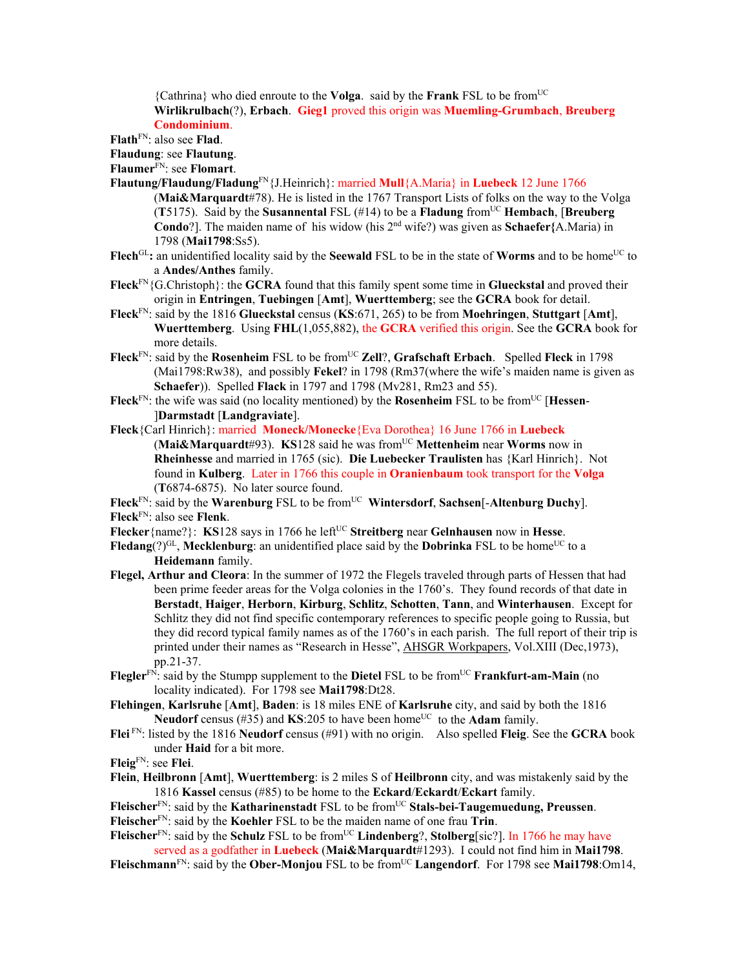{Cathrina} who died enroute to the **Volga**. said by the **Frank** FSL to be fromUC **Wirlikrulbach**(?), **Erbach**. **Gieg1** proved this origin was **Muemling-Grumbach**, **Breuberg Condominium**.

**Flath**FN: also see **Flad**.

**Flaudung**: see **Flautung**.

**Flaumer**FN: see **Flomart**.

- **Flautung/Flaudung/Fladung**FN{J.Heinrich}: married **Mull**{A.Maria} in **Luebeck** 12 June 1766 (**Mai&Marquardt**#78). He is listed in the 1767 Transport Lists of folks on the way to the Volga (**T**5175). Said by the **Susannental** FSL (#14) to be a **Fladung** fromUC **Hembach**, [**Breuberg Condo**?]. The maiden name of his widow (his 2nd wife?) was given as **Schaefer{**A.Maria) in 1798 (**Mai1798**:Ss5).
- **Flech**<sup>GL</sup>: an unidentified locality said by the **Seewald** FSL to be in the state of **Worms** and to be home<sup>UC</sup> to a **Andes/Anthes** family.
- **Fleck**FN{G.Christoph}: the **GCRA** found that this family spent some time in **Glueckstal** and proved their origin in **Entringen**, **Tuebingen** [**Amt**], **Wuerttemberg**; see the **GCRA** book for detail.
- **Fleck**FN: said by the 1816 **Glueckstal** census (**KS**:671, 265) to be from **Moehringen**, **Stuttgart** [**Amt**], **Wuerttemberg**. Using **FHL**(1,055,882), the **GCRA** verified this origin. See the **GCRA** book for more details.
- Fleck<sup>FN</sup>: said by the Rosenheim FSL to be from<sup>UC</sup> Zell?, Grafschaft Erbach. Spelled Fleck in 1798 (Mai1798:Rw38), and possibly **Fekel**? in 1798 (Rm37(where the wife's maiden name is given as **Schaefer**)). Spelled **Flack** in 1797 and 1798 (Mv281, Rm23 and 55).
- **Fleck**<sup>FN</sup>: the wife was said (no locality mentioned) by the **Rosenheim** FSL to be from<sup>UC</sup> [**Hessen**-]**Darmstadt** [**Landgraviate**].
- **Fleck**{Carl Hinrich}: married **Moneck/Monecke**{Eva Dorothea} 16 June 1766 in **Luebeck** (**Mai&Marquardt**#93). **KS**128 said he was fromUC **Mettenheim** near **Worms** now in **Rheinhesse** and married in 1765 (sic). **Die Luebecker Traulisten** has {Karl Hinrich}. Not found in **Kulberg**. Later in 1766 this couple in **Oranienbaum** took transport for the **Volga**  (**T**6874-6875). No later source found.
- Fleck<sup>FN</sup>: said by the **Warenburg** FSL to be from<sup>UC</sup> Wintersdorf, Sachsen<sup>[</sup>-Altenburg Duchy].

**Fleck**FN: also see **Flenk**.

- **Flecker**{name?}: **KS**128 says in 1766 he left<sup>UC</sup> Streitberg near Gelnhausen now in Hesse.
- **Fledang**( $?$ )<sup>GL</sup>, **Mecklenburg**: an unidentified place said by the **Dobrinka** FSL to be home<sup>UC</sup> to a **Heidemann** family.
- **Flegel, Arthur and Cleora**: In the summer of 1972 the Flegels traveled through parts of Hessen that had been prime feeder areas for the Volga colonies in the 1760's. They found records of that date in **Berstadt**, **Haiger**, **Herborn**, **Kirburg**, **Schlitz**, **Schotten**, **Tann**, and **Winterhausen**. Except for Schlitz they did not find specific contemporary references to specific people going to Russia, but they did record typical family names as of the 1760's in each parish. The full report of their trip is printed under their names as "Research in Hesse", AHSGR Workpapers, Vol.XIII (Dec,1973), pp.21-37.
- **Flegler**<sup>FN:</sup> said by the Stumpp supplement to the **Dietel** FSL to be from<sup>UC</sup> **Frankfurt-am-Main** (no locality indicated).For 1798 see **Mai1798**:Dt28.
- **Flehingen**, **Karlsruhe** [**Amt**], **Baden**: is 18 miles ENE of **Karlsruhe** city, and said by both the 1816 **Neudorf** census (#35) and **KS**:205 to have been home<sup>UC</sup> to the **Adam** family.
- **Flei** FN: listed by the 1816 **Neudorf** census (#91) with no origin. Also spelled **Fleig**. See the **GCRA** book under **Haid** for a bit more.

**Fleig**FN: see **Flei**.

- **Flein**, **Heilbronn** [**Amt**], **Wuerttemberg**: is 2 miles S of **Heilbronn** city, and was mistakenly said by the 1816 **Kassel** census (#85) to be home to the **Eckard**/**Eckardt**/**Eckart** family.
- Fleischer<sup>FN</sup>: said by the **Katharinenstadt** FSL to be from<sup>UC</sup> Stals-bei-Taugemuedung, Preussen. **Fleischer**FN: said by the **Koehler** FSL to be the maiden name of one frau **Trin**.

**Fleischer**<sup>FN</sup>: said by the **Schulz** FSL to be from<sup>UC</sup> **Lindenberg**?, **Stolberg**[sic?]. In 1766 he may have served as a godfather in **Luebeck** (**Mai&Marquardt**#1293). I could not find him in **Mai1798**. Fleischmann<sup>FN</sup>: said by the Ober-Monjou FSL to be from<sup>UC</sup> Langendorf. For 1798 see Mai1798:Om14,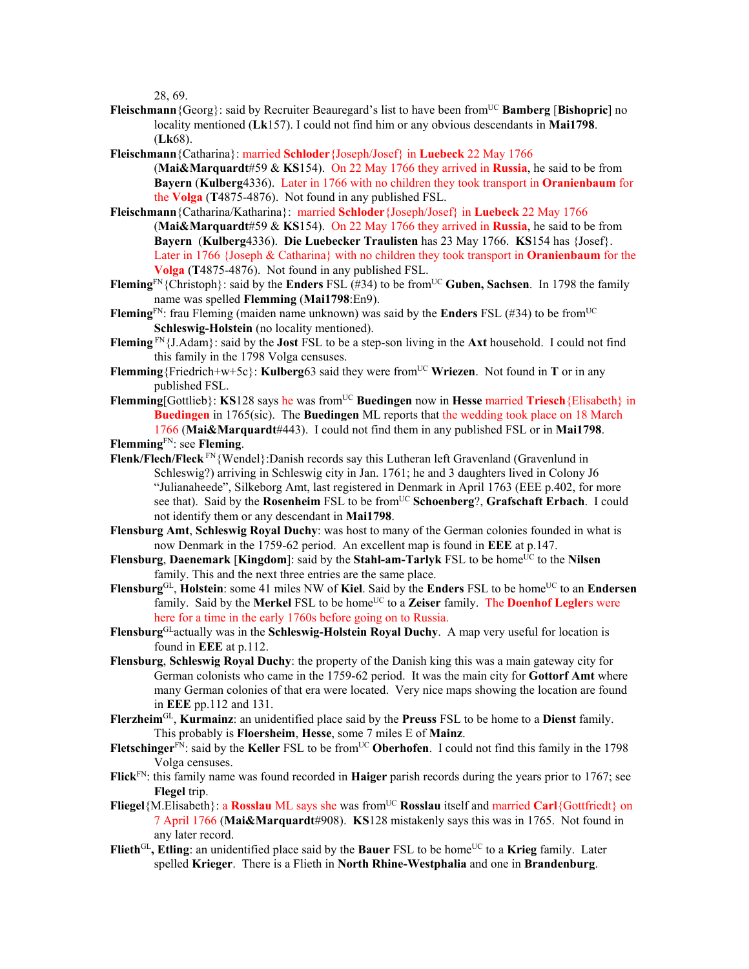28, 69.

- **Fleischmann** {Georg}: said by Recruiter Beauregard's list to have been from<sup>UC</sup> **Bamberg** [**Bishopric**] no locality mentioned (**Lk**157). I could not find him or any obvious descendants in **Mai1798**. (**Lk**68).
- **Fleischmann**{Catharina}: married **Schloder**{Joseph/Josef} in **Luebeck** 22 May 1766
- (**Mai&Marquardt**#59 & **KS**154). On 22 May 1766 they arrived in **Russia**, he said to be from **Bayern** (**Kulberg**4336). Later in 1766 with no children they took transport in **Oranienbaum** for the **Volga** (**T**4875-4876). Not found in any published FSL.
- **Fleischmann**{Catharina/Katharina}: married **Schloder**{Joseph/Josef} in **Luebeck** 22 May 1766 (**Mai&Marquardt**#59 & **KS**154). On 22 May 1766 they arrived in **Russia**, he said to be from **Bayern** (**Kulberg**4336). **Die Luebecker Traulisten** has 23 May 1766. **KS**154 has {Josef}. Later in 1766 {Joseph & Catharina} with no children they took transport in **Oranienbaum** for the **Volga** (**T**4875-4876). Not found in any published FSL.
- **Fleming**FN{Christoph}: said by the **Enders** FSL (#34) to be fromUC **Guben, Sachsen**. In 1798 the family name was spelled **Flemming** (**Mai1798**:En9).
- **Fleming**<sup>FN</sup>: frau Fleming (maiden name unknown) was said by the **Enders** FSL (#34) to be from<sup>UC</sup> **Schleswig-Holstein** (no locality mentioned).
- **Fleming** FN{J.Adam}: said by the **Jost** FSL to be a step-son living in the **Axt** household. I could not find this family in the 1798 Volga censuses.
- **Flemming**{Friedrich+w+5c}: **Kulberg**63 said they were from<sup>UC</sup> Wriezen. Not found in **T** or in any published FSL.
- **Flemming**[Gottlieb}: **KS**128 says he was from<sup>UC</sup> Buedingen now in Hesse married Triesch {Elisabeth} in **Buedingen** in 1765(sic). The **Buedingen** ML reports that the wedding took place on 18 March 1766 (**Mai&Marquardt**#443). I could not find them in any published FSL or in **Mai1798**.
- **Flemming**FN: see **Fleming**.
- **Flenk/Flech/Fleck** FN{Wendel}:Danish records say this Lutheran left Gravenland (Gravenlund in Schleswig?) arriving in Schleswig city in Jan. 1761; he and 3 daughters lived in Colony J6 "Julianaheede", Silkeborg Amt, last registered in Denmark in April 1763 (EEE p.402, for more see that). Said by the **Rosenheim** FSL to be fromUC **Schoenberg**?, **Grafschaft Erbach**. I could not identify them or any descendant in **Mai1798**.
- **Flensburg Amt**, **Schleswig Royal Duchy**: was host to many of the German colonies founded in what is now Denmark in the 1759-62 period. An excellent map is found in **EEE** at p.147.
- **Flensburg**, **Daenemark** [**Kingdom**]: said by the **Stahl-am-Tarlyk** FSL to be home<sup>UC</sup> to the Nilsen family. This and the next three entries are the same place.
- **Flensburg**GL, **Holstein**: some 41 miles NW of **Kiel**. Said by the **Enders** FSL to be homeUC to an **Endersen** family. Said by the **Merkel** FSL to be home<sup>UC</sup> to a **Zeiser** family. The **Doenhof Legler**s were here for a time in the early 1760s before going on to Russia.
- **Flensburg**GLactually was in the **Schleswig-Holstein Royal Duchy**. A map very useful for location is found in **EEE** at p.112.
- **Flensburg**, **Schleswig Royal Duchy**: the property of the Danish king this was a main gateway city for German colonists who came in the 1759-62 period. It was the main city for **Gottorf Amt** where many German colonies of that era were located. Very nice maps showing the location are found in **EEE** pp.112 and 131.
- **Flerzheim**GL, **Kurmainz**: an unidentified place said by the **Preuss** FSL to be home to a **Dienst** family. This probably is **Floersheim**, **Hesse**, some 7 miles E of **Mainz**.
- Fletschinger<sup>FN</sup>: said by the Keller FSL to be from<sup>UC</sup> Oberhofen. I could not find this family in the 1798 Volga censuses.
- **Flick**FN: this family name was found recorded in **Haiger** parish records during the years prior to 1767; see **Flegel** trip.
- **Fliegel**{M.Elisabeth}: a **Rosslau** ML says she was from<sup>UC</sup> **Rosslau** itself and married **Carl**{Gottfriedt} on 7 April 1766 (**Mai&Marquardt**#908). **KS**128 mistakenly says this was in 1765. Not found in any later record.
- Flieth<sup>GL</sup>, Etling: an unidentified place said by the **Bauer** FSL to be home<sup>UC</sup> to a **Krieg** family. Later spelled **Krieger**. There is a Flieth in **North Rhine-Westphalia** and one in **Brandenburg**.